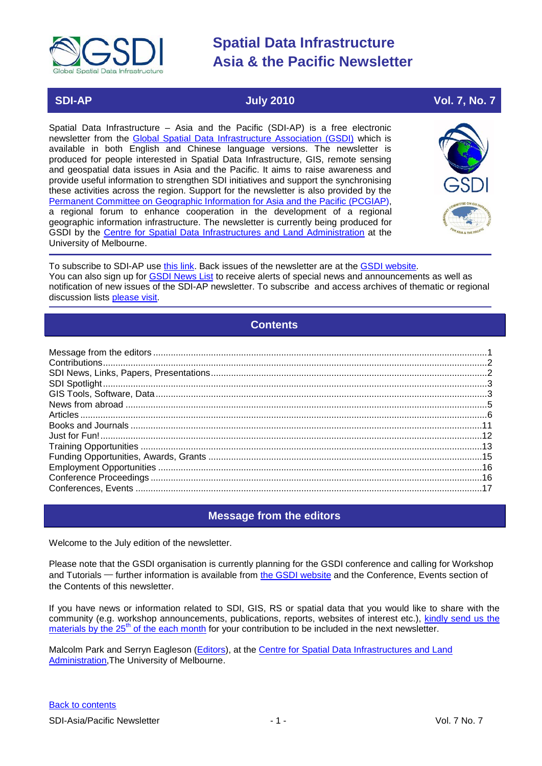

# **SDI-AP July 2010 Vol. 7, No. 7**

Spatial Data Infrastructure – Asia and the Pacific (SDI-AP) is a free electronic newsletter from the [Global Spatial Data Infrastructure Association \(GSDI\)](http://www.gsdi.org/) which is available in both English and Chinese language versions. The newsletter is produced for people interested in Spatial Data Infrastructure, GIS, remote sensing and geospatial data issues in Asia and the Pacific. It aims to raise awareness and provide useful information to strengthen SDI initiatives and support the synchronising these activities across the region. Support for the newsletter is also provided by the [Permanent Committee on Geographic Information for Asia and the Pacific \(PCGIAP\)](http://www.pcgiap.org/), a regional forum to enhance cooperation in the development of a regional geographic information infrastructure. The newsletter is currently being produced for GSDI by the [Centre for Spatial Data Infrastructures and Land Administration](http://www.csdila.unimelb.edu.au/) at the University of Melbourne.



To subscribe to SDI-AP use [this link.](http://www.gsdi.org/newslist/gsdisubscribe.asp) Back issues of the newsletter are at the [GSDI website.](http://www.gsdi.org/newsletters.asp) You can also sign up for **GSDI News List** to receive alerts of special news and announcements as well as notification of new issues of the SDI-AP newsletter. To subscribe and access archives of thematic or regional discussion lists [please visit.](http://www.gsdi.org/discussionlists.asp)

# **Contents**

<span id="page-0-0"></span>

# **Message from the editors**

<span id="page-0-1"></span>Welcome to the July edition of the newsletter.

Please note that the GSDI organisation is currently planning for the GSDI conference and calling for Workshop and Tutorials — further information is available from [the GSDI website](http://www.gsdi.org/node/246) and the Conference. Events section of the Contents of this newsletter.

If you have news or information related to SDI, GIS, RS or spatial data that you would like to share with the community (e.g. workshop announcements, publications, reports, websites of interest etc.), [kindly send us](mailto:sdi-ap@gsdi.org) the [materials by the 25](mailto:sdi-ap@gsdi.org)<sup>th</sup> of the each month for your contribution to be included in the next newsletter.

Malcolm Park and Serryn Eagleson [\(Editors\)](mailto:Editor.SDIAP@gmail.com), at the Centre for Spatial Data Infrastructures and Land [Administration,](http://www.csdila.unimelb.edu.au/) The University of Melbourne.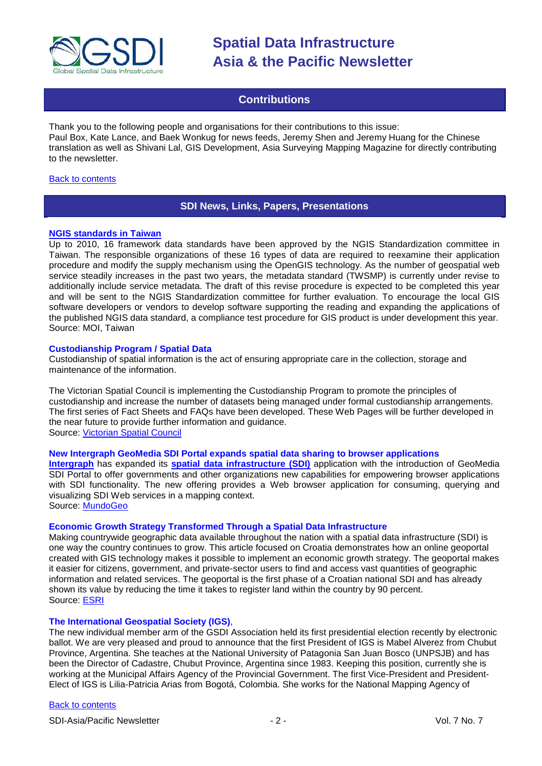

# **Contributions**

<span id="page-1-0"></span>Thank you to the following people and organisations for their contributions to this issue: Paul Box, Kate Lance, and Baek Wonkug for news feeds, Jeremy Shen and Jeremy Huang for the Chinese translation as well as Shivani Lal, GIS Development, Asia Surveying Mapping Magazine for directly contributing to the newsletter.

#### <span id="page-1-1"></span>[Back to contents](#page-0-0)

# **SDI News, Links, Papers, Presentations**

#### **[NGIS standards in Taiwan](http://standards.moi.gov.tw/giss/index.htm)**

Up to 2010, 16 framework data standards have been approved by the NGIS Standardization committee in Taiwan. The responsible organizations of these 16 types of data are required to reexamine their application procedure and modify the supply mechanism using the OpenGIS technology. As the number of geospatial web service steadily increases in the past two years, the metadata standard (TWSMP) is currently under revise to additionally include service metadata. The draft of this revise procedure is expected to be completed this year and will be sent to the NGIS Standardization committee for further evaluation. To encourage the local GIS software developers or vendors to develop software supporting the reading and expanding the applications of the published NGIS data standard, a compliance test procedure for GIS product is under development this year. Source: MOI, Taiwan

#### **Custodianship Program / Spatial Data**

Custodianship of spatial information is the act of ensuring appropriate care in the collection, storage and maintenance of the information.

The Victorian Spatial Council is implementing the Custodianship Program to promote the principles of custodianship and increase the number of datasets being managed under formal custodianship arrangements. The first series of Fact Sheets and FAQs have been developed. These Web Pages will be further developed in the near future to provide further information and guidance. Source: [Victorian Spatial Council](http://www.victorianspatialcouncil.org/page/unassigned/custodianship-frequently-asked-questions-and-fact-sheets)

#### **New Intergraph GeoMedia SDI Portal expands spatial data sharing to browser applications**

**[Intergraph](http://www.intergraph.com/)** has expanded its **[spatial data infrastructure \(SDI\)](http://www.intergraph.com/govt/sdi.aspx)** application with the introduction of GeoMedia SDI Portal to offer governments and other organizations new capabilities for empowering browser applications with SDI functionality. The new offering provides a Web browser application for consuming, querying and visualizing SDI Web services in a mapping context. Source: [MundoGeo](http://www.mundogeo.com.br/noticias-diarias.php?id_noticia=17506&lang_id=3)

# **Economic Growth Strategy Transformed Through a Spatial Data Infrastructure**

Making countrywide geographic data available throughout the nation with a spatial data infrastructure (SDI) is one way the country continues to grow. This article focused on Croatia demonstrates how an online geoportal created with GIS technology makes it possible to implement an economic growth strategy. The geoportal makes it easier for citizens, government, and private-sector users to find and access vast quantities of geographic information and related services. The geoportal is the first phase of a Croatian national SDI and has already shown its value by reducing the time it takes to register land within the country by 90 percent. Source: [ESRI](http://www.esri.com/news/arcnews/summer10articles/economic-growth.html)

# **The International Geospatial Society (IGS)**,

The new individual member arm of the GSDI Association held its first presidential election recently by electronic ballot. We are very pleased and proud to announce that the first President of IGS is Mabel Alverez from Chubut Province, Argentina. She teaches at the National University of Patagonia San Juan Bosco (UNPSJB) and has been the Director of Cadastre, Chubut Province, Argentina since 1983. Keeping this position, currently she is working at the Municipal Affairs Agency of the Provincial Government. The first Vice-President and President-Elect of IGS is Lilia-Patricia Arias from Bogotá, Colombia. She works for the National Mapping Agency of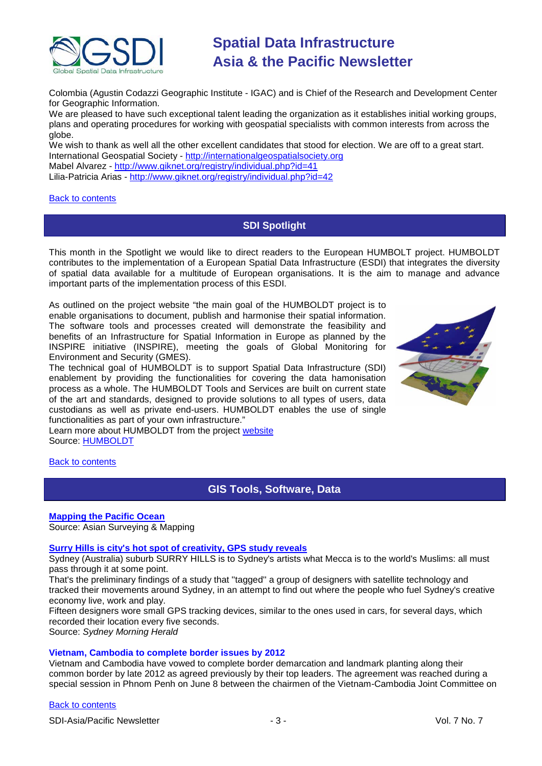

Colombia (Agustin Codazzi Geographic Institute - IGAC) and is Chief of the Research and Development Center for Geographic Information.

We are pleased to have such exceptional talent leading the organization as it establishes initial working groups, plans and operating procedures for working with geospatial specialists with common interests from across the globe.

We wish to thank as well all the other excellent candidates that stood for election. We are off to a great start. International Geospatial Society - <http://internationalgeospatialsociety.org> Mabel Alvarez - <http://www.giknet.org/registry/individual.php?id=41> Lilia-Patricia Arias - <http://www.giknet.org/registry/individual.php?id=42>

#### <span id="page-2-0"></span>[Back to contents](#page-0-0)

# **SDI Spotlight**

This month in the Spotlight we would like to direct readers to the European HUMBOLT project. HUMBOLDT contributes to the implementation of a European Spatial Data Infrastructure (ESDI) that integrates the diversity of spatial data available for a multitude of European organisations. It is the aim to manage and advance important parts of the implementation process of this ESDI.

As outlined on the project website "the main goal of the HUMBOLDT project is to enable organisations to document, publish and harmonise their spatial information. The software tools and processes created will demonstrate the feasibility and benefits of an Infrastructure for Spatial Information in Europe as planned by the INSPIRE initiative [\(INSPIRE\)](http://inspire.jrc.ec.europa.eu/), meeting the goals of Global Monitoring for Environment and Security [\(GMES\)](http://www.gmes.info/).

The technical goal of HUMBOLDT is to support Spatial Data Infrastructure (SDI) enablement by providing the functionalities for covering the data hamonisation process as a whole. The HUMBOLDT Tools and Services are built on current state of the art and standards, designed to provide solutions to all types of users, data custodians as well as private end-users. HUMBOLDT enables the use of single functionalities as part of your own infrastructure."

Learn more about HUMBOLDT from the project [website](http://www.esdi-humboldt.eu/home.html) Source: [HUMBOLDT](http://www.esdi-humboldt.eu/home.html)

<span id="page-2-1"></span>**[Back to contents](#page-0-0)** 

# **GIS Tools, Software, Data**

# **[Mapping the Pacific Ocean](http://asmmag.com/features/mapping-the-pacific-ocean)**

Source: Asian Surveying & Mapping

# **[Surry Hills is city's hot spot of creativity, GPS study reveals](http://www.smh.com.au/entertainment/art-and-design/surry-hills-is-citys-hot-spot-of-creativity-gps-study-reveals-20100606-xn83.html)**

Sydney (Australia) suburb SURRY HILLS is to Sydney's artists what Mecca is to the world's Muslims: all must pass through it at some point.

That's the preliminary findings of a study that ''tagged'' a group of designers with satellite technology and tracked their movements around Sydney, in an attempt to find out where the people who fuel Sydney's creative economy live, work and play.

Fifteen designers wore small GPS tracking devices, similar to the ones used in cars, for several days, which recorded their location every five seconds.

Source: *Sydney Morning Herald*

# **Vietnam, Cambodia to complete border issues by 2012**

Vietnam and Cambodia have vowed to complete border demarcation and landmark planting along their common border by late 2012 as agreed previously by their top leaders. The agreement was reached during a special session in Phnom Penh on June 8 between the chairmen of the Vietnam-Cambodia Joint Committee on

# [Back to contents](#page-0-0)

SDI-Asia/Pacific Newsletter  $\overline{3}$  - 3 -  $\overline{3}$  -  $\overline{4}$  Vol. 7 No. 7

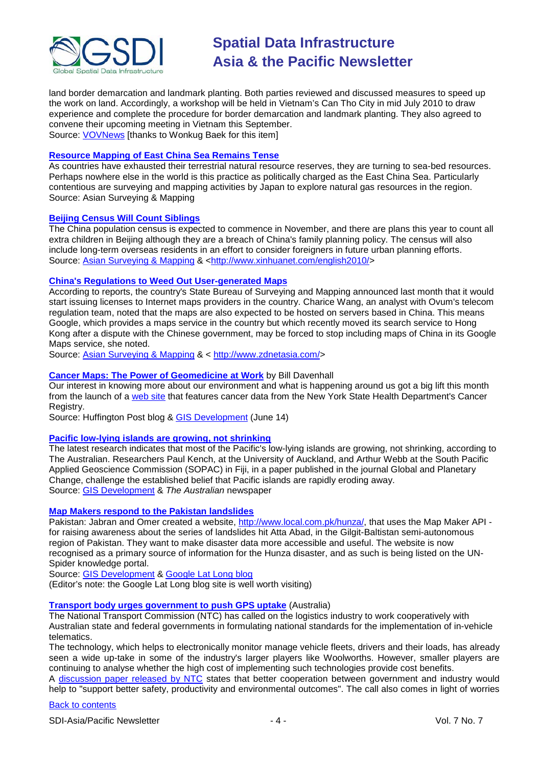

land border demarcation and landmark planting. Both parties reviewed and discussed measures to speed up the work on land. Accordingly, a workshop will be held in Vietnam's Can Tho City in mid July 2010 to draw experience and complete the procedure for border demarcation and landmark planting. They also agreed to convene their upcoming meeting in Vietnam this September. Source: [VOVNews](http://english.vovnews.vn/Home/Vietnam-Cambodia-to-complete-border-issues-in-2012/20106/116319.vov) [thanks to Wonkug Baek for this item]

### **[Resource Mapping of East China Sea Remains Tense](http://asmmag.com/features/resource-mapping-of-east-china-sea-remains-tense)**

As countries have exhausted their terrestrial natural resource reserves, they are turning to sea-bed resources. Perhaps nowhere else in the world is this practice as politically charged as the East China Sea. Particularly contentious are surveying and mapping activities by Japan to explore natural gas resources in the region. Source: Asian Surveying & Mapping

#### **[Beijing Census Will Count Siblings](http://news.xinhuanet.com/english2010/china/2010-06/10/c_13342601.htm)**

The China population census is expected to commence in November, and there are plans this year to count all extra children in Beijing although they are a breach of China's family planning policy. The census will also include long-term overseas residents in an effort to consider foreigners in future urban planning efforts. Source: [Asian Surveying & Mapping](http://asmmag.com/news/beijing-census-will-count-siblings) & [<http://www.xinhuanet.com/english2010/>](http://www.xinhuanet.com/english2010/)

#### **[China's Regulations to Weed Out User-generated Maps](http://www.zdnetasia.com/china-s-regulations-to-weed-out-user-generated-maps-62200615.htm)**

According to reports, the country's State Bureau of Surveying and Mapping announced last month that it would start issuing licenses to Internet maps providers in the country. Charice Wang, an analyst with Ovum's telecom regulation team, noted that the maps are also expected to be hosted on servers based in China. This means Google, which provides a maps service in the country but which recently moved its search service to Hong Kong after a dispute with the Chinese government, may be forced to stop including maps of China in its Google Maps service, she noted.

Source: [Asian Surveying & Mapping](http://asmmag.com/news/china-s-regulations-to-weed-out-user-generated-maps) & < [http://www.zdnetasia.com/>](http://www.zdnetasia.com/)

#### **[Cancer Maps: The Power of Geomedicine at Work](http://www.huffingtonpost.com/bill-davenhall/environmental-health-canc_b_599524.html)** by Bill Davenhall

Our interest in knowing more about our environment and what is happening around us got a big lift this month from the launch of a [web site](https://apps.nyhealth.gov/statistics/cancer/environmental_facilities/mapping/map/) that features cancer data from the New York State Health Department's Cancer Registry.

Source: Huffington Post blog & [GIS Development](http://www.gisdevelopment.net/ezine/weekly/jun1410.htm) (June 14)

#### **[Pacific low-lying islands are growing, not shrinking](http://www.theaustralian.com.au/news/features/coral-islands-left-high-and-dry/story-e6frg6z6-1225878132101)**

The latest research indicates that most of the Pacific's low-lying islands are growing, not shrinking, according to The Australian. Researchers Paul Kench, at the University of Auckland, and Arthur Webb at the South Pacific Applied Geoscience Commission (SOPAC) in Fiji, in a paper published in the journal Global and Planetary Change, challenge the established belief that Pacific islands are rapidly eroding away. Source: [GIS Development](http://beta.gisdevelopment.net/index.php?option=com_content&view=article&id=17747%3Apacific-low-lying-islands-are-growing-not-shrinking-&catid=64%3Aapplication-environment&Itemid=1) & *The Australian* newspaper

#### **[Map Makers respond to the Pakistan landslides](http://google-latlong.blogspot.com/2010/06/map-makers-respond-to-pakistan.html?utm_source=feedburner&utm_medium=feed&utm_campaign=Feed%3A+blogspot%2FSbSV+(Google+LatLong)&utm_content=Google+Reader)**

Pakistan: Jabran and Omer created a website, [http://www.local.com.pk/hunza/,](http://www.local.com.pk/hunza/) that uses the Map Maker API for raising awareness about the series of landslides hit Atta Abad, in the Gilgit-Baltistan semi-autonomous region of Pakistan. They want to make disaster data more accessible and useful. The website is now recognised as a primary source of information for the Hunza disaster, and as such is being listed on the UN-Spider knowledge portal.

Source: [GIS Development](http://beta.gisdevelopment.net/index.php?option=com_content&view=article&id=17735%3Amap-makers-respond-to-the-pakistan-landslides&catid=48%3Aproduct-cartography-map-publishing&Itemid=1) & [Google Lat Long blog](http://google-latlong.blogspot.com/)

(Editor's note: the Google Lat Long blog site is well worth visiting)

#### **[Transport body urges government to push GPS uptake](http://www.networkworld.com/news/2010/061210-transport-body-urges-government-to.html?page=1)** (Australia)

The National Transport Commission (NTC) has called on the logistics industry to work cooperatively with Australian state and federal governments in formulating national standards for the implementation of in-vehicle telematics.

The technology, which helps to electronically monitor manage vehicle fleets, drivers and their loads, has already seen a wide up-take in some of the industry's larger players like Woolworths. However, smaller players are continuing to analyse whether the high cost of implementing such technologies provide cost benefits.

A [discussion paper released by NTC](http://www.ntc.gov.au/filemedia/Reports/InVehicleTelematicsStrategyJun10.pdf) states that better cooperation between government and industry would help to "support better safety, productivity and environmental outcomes". The call also comes in light of worries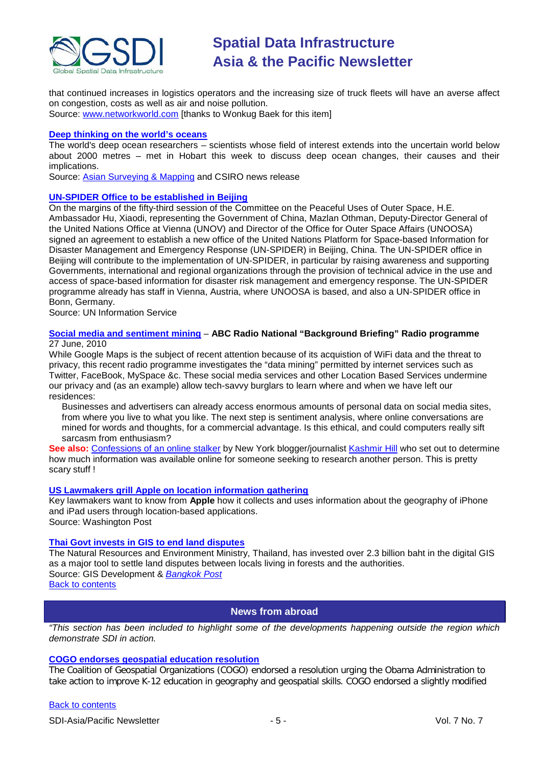

that continued increases in logistics operators and the increasing size of truck fleets will have an averse affect on congestion, costs as well as air and noise pollution.

Source: [www.networkworld.com](http://www.networkworld.com/) [thanks to Wonkug Baek for this item]

#### **[Deep thinking on the world's oceans](http://www.csiro.au/news/Deep-thinking-on-the-worlds-oceans.html)**

The world's deep ocean researchers – scientists whose field of interest extends into the uncertain world below about 2000 metres – met in Hobart this week to discuss deep ocean changes, their causes and their implications.

Source: [Asian Surveying & Mapping](http://asmmag.com/news/csiro-deep-thinking-on-the-worlds-oceans) and CSIRO news release

#### **[UN-SPIDER Office to be established in Beijing](http://www.unis.unvienna.org/unis/en/pressrels/2010/unisos397.html)**

On the margins of the fifty-third session of the Committee on the Peaceful Uses of Outer Space, H.E. Ambassador Hu, Xiaodi, representing the Government of China, Mazlan Othman, Deputy-Director General of the United Nations Office at Vienna (UNOV) and Director of the Office for Outer Space Affairs (UNOOSA) signed an agreement to establish a new office of the United Nations Platform for Space-based Information for Disaster Management and Emergency Response (UN-SPIDER) in Beijing, China. The UN-SPIDER office in Beijing will contribute to the implementation of UN-SPIDER, in particular by raising awareness and supporting Governments, international and regional organizations through the provision of technical advice in the use and access of space-based information for disaster risk management and emergency response. The UN-SPIDER programme already has staff in Vienna, Austria, where UNOOSA is based, and also a UN-SPIDER office in Bonn, Germany.

Source: UN Information Service

#### **[Social media and sentiment mining](http://www.abc.net.au/rn/backgroundbriefing/stories/2010/2933391.htm)** – **ABC Radio National "Background Briefing" Radio programme** 27 June, 2010

While Google Maps is the subject of recent attention because of its acquistion of WiFi data and the threat to privacy, this recent radio programme investigates the "data mining" permitted by internet services such as Twitter, FaceBook, MySpace &c. These social media services and other Location Based Services undermine our privacy and (as an example) allow tech-savvy burglars to learn where and when we have left our residences:

Businesses and advertisers can already access enormous amounts of personal data on social media sites, from where you live to what you like. The next step is sentiment analysis, where online conversations are mined for words and thoughts, for a commercial advantage. Is this ethical, and could computers really sift sarcasm from enthusiasm?

**See also:** [Confessions of an online stalker](http://www.assemblyjournal.com/2010/06/confessios-of-an-online-stalker/) by New York blogger/journalist [Kashmir Hill](http://trueslant.com/KashmirHill/) who set out to determine how much information was available online for someone seeking to research another person. This is pretty scary stuff !

#### **[US Lawmakers grill Apple on location information gathering](http://voices.washingtonpost.com/posttech/2010/06/lawmakers_grill_apple_ceo_jobs.html)**

Key lawmakers want to know from **Apple** how it collects and uses information about the geography of iPhone and iPad users through location-based applications.

Source: Washington Post

# **[Thai Govt invests in GIS to end land disputes](http://beta.gisdevelopment.net/index.php?option=com_content&view=article&id=17806%3Athai-govt-invests-in-gis-to-end-land-disputes&catid=42%3Aproduct-gis&Itemid=1)**

The Natural Resources and Environment Ministry, Thailand, has invested over 2.3 billion baht in the digital GIS as a major tool to settle land disputes between locals living in forests and the authorities. Source: GIS Development & *[Bangkok Post](http://www.bangkokpost.com/news/local/39012/ministry-invests-to-end-rows)*

<span id="page-4-0"></span>[Back to contents](#page-0-0)

# **News from abroad**

*"This section has been included to highlight some of the developments happening outside the region which demonstrate SDI in action.*

# **[COGO endorses geospatial education resolution](http://www.urisa.org/files/COGO_Education_Resolution_press_release%2006_02_2010.pdf)**

The Coalition of Geospatial Organizations (COGO) endorsed a resolution urging the Obama Administration to take action to improve K-12 education in geography and geospatial skills. COGO endorsed a slightly modified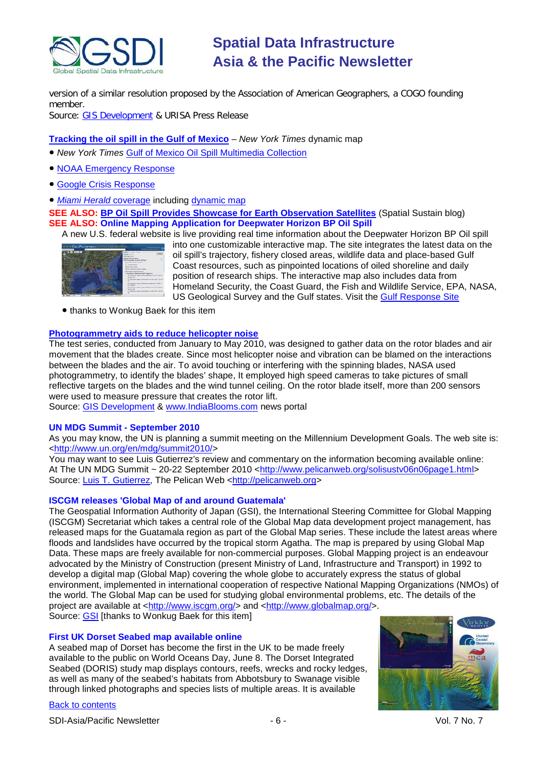

version of a similar resolution proposed by the Association of American Geographers, a COGO founding member.

Source: [GIS Development](http://beta.gisdevelopment.net/index.php?option=com_content&view=article&id=17697%3Acogo-endorses-geospatial-education-resolution&catid=78%3Amiscellaneous-policy&Itemid=1&pagetype=newssearch) & URISA Press Release

# **[Tracking the oil spill in the Gulf of Mexico](http://www.nytimes.com/interactive/2010/05/01/us/20100501-oil-spill-tracker.html)** – *New York Times* dynamic map

- <span id="page-5-0"></span>● *New York Times* [Gulf of Mexico Oil Spill Multimedia Collection](http://www.nytimes.com/interactive/us/spill_index.html)
- [NOAA Emergency Response](http://response.restoration.noaa.gov/topic_subtopic_entry.php?RECORD_KEY%28entry_subtopic_topic%29=entry_id,subtopic_id,topic_id&entry_id(entry_subtopic_topic)=809&subtopic_id(entry_subtopic_topic)=8&topic_id(entry_subtopic_topic)=1)
- [Google Crisis Response](http://www.google.com/crisisresponse/oilspill/)
- *[Miami Herald](http://www.miamiherald.com/oilspill/)* coverage including [dynamic map](http://www.miamiherald.com/2010/06/10/1674053/oil-in-the-gulf-of-mexico.html)

**SEE ALSO: [BP Oil Spill Provides Showcase for Earth Observation Satellites](http://vector1media.com/spatialsustain/bp-oil-spill-provides-showcase-for-earth-observation-satellites.html)** (Spatial Sustain blog) **SEE ALSO: Online Mapping Application for Deepwater Horizon BP Oil Spill**

A new U.S. federal website is live providing real time information about the Deepwater Horizon BP Oil spill

| pointable are<br>ŦП |  | ------                                     |  |
|---------------------|--|--------------------------------------------|--|
|                     |  |                                            |  |
|                     |  | <b>Elect Avenue</b>                        |  |
|                     |  |                                            |  |
|                     |  | Desposite the law: B3 full                 |  |
|                     |  | Kansas Committee Committee                 |  |
|                     |  |                                            |  |
|                     |  |                                            |  |
|                     |  | <b>North Cardinal</b>                      |  |
|                     |  | <b>But Built Trackchille</b>               |  |
|                     |  | <b><i>Street and Sold Transition</i></b>   |  |
|                     |  |                                            |  |
|                     |  |                                            |  |
|                     |  |                                            |  |
|                     |  |                                            |  |
|                     |  |                                            |  |
|                     |  | <b>Li cracini</b>                          |  |
|                     |  | The property of a short and the particular |  |
|                     |  |                                            |  |
|                     |  | <b><i><u>A della dal Die Will</u></i></b>  |  |

into one customizable interactive map. The site integrates the latest data on the oil spill's trajectory, fishery closed areas, wildlife data and place-based Gulf Coast resources, such as pinpointed locations of oiled shoreline and daily position of research ships. The interactive map also includes data from Homeland Security, the Coast Guard, the Fish and Wildlife Service, EPA, NASA, US Geological Survey and the Gulf states. Visit the [Gulf Response Site](http://www.geoplatform.gov/gulfresponse/)

● thanks to Wonkug Baek for this item

# **[Photogrammetry aids to reduce helicopter noise](http://www.indiablooms.com/EnvironmentDetailsPage/environmentDetails080610c.php)**

The test series, conducted from January to May 2010, was designed to gather data on the rotor blades and air movement that the blades create. Since most helicopter noise and vibration can be blamed on the interactions between the blades and the air. To avoid touching or interfering with the spinning blades, NASA used photogrammetry, to identify the blades' shape, It employed high speed cameras to take pictures of small reflective targets on the blades and the wind tunnel ceiling. On the rotor blade itself, more than 200 sensors were used to measure pressure that creates the rotor lift.

Source: [GIS Development](http://beta.gisdevelopment.net/index.php?option=com_content&view=article&id=17739%3Aphotogrammetry-aids-to-reduce-helicopter-noise&catid=61%3Aapplication-transportation-navigation&Itemid=1) & [www.IndiaBlooms.com](http://www.indiablooms.com/) news portal

# **UN MDG Summit - September 2010**

As you may know, the UN is planning a summit meeting on the Millennium Development Goals. The web site is: [<http://www.un.org/en/mdg/summit2010/>](http://www.un.org/en/mdg/summit2010/)

You may want to see Luis Gutierrez's review and commentary on the information becoming available online: At The UN MDG Summit ~ 20-22 September 2010 [<http://www.pelicanweb.org/solisustv06n06page1.html>](http://www.pelicanweb.org/solisustv06n06page1.html) Source: [Luis T. Gutierrez,](mailto:luisgutierrez@peoplepc.com) The Pelican Web [<http://pelicanweb.org>](http://pelicanweb.org/)

# **ISCGM releases 'Global Map of and around Guatemala'**

The Geospatial Information Authority of Japan (GSI), the International Steering Committee for Global Mapping (ISCGM) Secretariat which takes a central role of the Global Map data development project management, has released maps for the Guatamala region as part of the Global Map series. These include the latest areas where floods and landslides have occurred by the tropical storm Agatha. The map is prepared by using Global Map Data. These maps are freely available for non-commercial purposes. Global Mapping project is an endeavour advocated by the Ministry of Construction (present Ministry of Land, Infrastructure and Transport) in 1992 to develop a digital map (Global Map) covering the whole globe to accurately express the status of global environment, implemented in international cooperation of respective National Mapping Organizations (NMOs) of the world. The Global Map can be used for studying global environmental problems, etc. The details of the project are available at [<http://www.iscgm.org/>](http://www.iscgm.org/) and [<http://www.globalmap.org/>](http://www.globalmap.org/). Source: [GSI](http://www.gsi.go.jp/kankyochiri/gm-disaster-1006gtm_e.html) [thanks to Wonkug Baek for this item]

# **First UK Dorset Seabed map available online**

A seabed map of Dorset has become the first in the UK to be made freely available to the public on World Oceans Day, June 8. The Dorset Integrated Seabed (DORIS) study map displays contours, reefs, wrecks and rocky ledges, as well as many of the seabed's habitats from Abbotsbury to Swanage visible through linked photographs and species lists of multiple areas. It is available

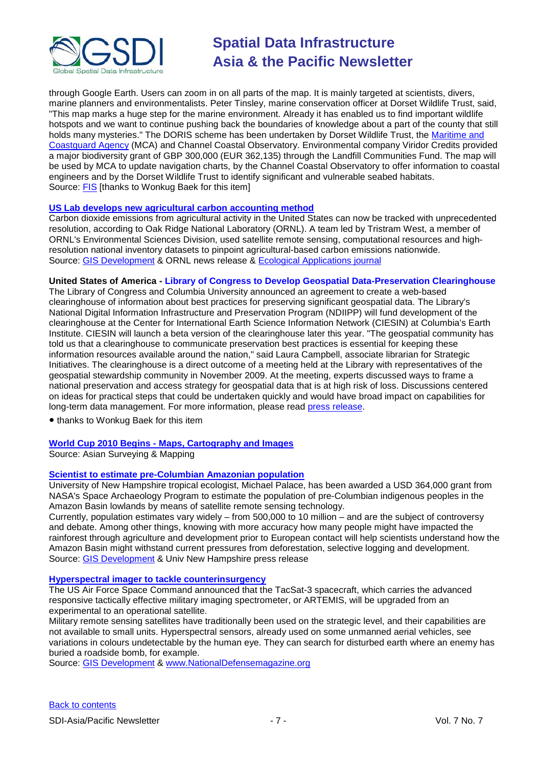

through Google Earth. Users can zoom in on all parts of the map. It is mainly targeted at scientists, divers, marine planners and environmentalists. Peter Tinsley, marine conservation officer at Dorset Wildlife Trust, said, "This map marks a huge step for the marine environment. Already it has enabled us to find important wildlife hotspots and we want to continue pushing back the boundaries of knowledge about a part of the county that still holds many mysteries." The DORIS scheme has been undertaken by Dorset Wildlife Trust, the Maritime and [Coastguard Agency](http://fis.com/fis/companies/details.asp?l=e&filterby=companies&company=Maritime%20and%20Coastguard%20Agency&page=1&company_id=55933&country_id=) (MCA) and Channel Coastal Observatory. Environmental company Viridor Credits provided a major biodiversity grant of GBP 300,000 (EUR 362,135) through the Landfill Communities Fund. The map will be used by MCA to update navigation charts, by the Channel Coastal Observatory to offer information to coastal engineers and by the Dorset Wildlife Trust to identify significant and vulnerable seabed habitats. Source: [FIS](http://www.fis.com/fis/worldnews/worldnews.asp?monthyear=&day=8&id=36837&l=e&special=&ndb=1%20target=) [thanks to Wonkug Baek for this item]

#### **[US Lab develops new agricultural carbon accounting method](http://www.ornl.gov/info/press_releases/get_press_release.cfm?ReleaseNumber=mr20100602-00)**

Carbon dioxide emissions from agricultural activity in the United States can now be tracked with unprecedented resolution, according to Oak Ridge National Laboratory (ORNL). A team led by Tristram West, a member of ORNL's Environmental Sciences Division, used satellite remote sensing, computational resources and highresolution national inventory datasets to pinpoint agricultural-based carbon emissions nationwide. Source: [GIS Development](http://beta.gisdevelopment.net/index.php?option=com_content&view=article&id=17727%3Aornl-develops-new-agricultural-carbon-accounting-method&catid=74%3Amiscellaneous-research&Itemid=1) & ORNL news release & [Ecological Applications journal](http://www.esajournals.org/doi/full/10.1890/08-2352.1)

#### **United States of America - Library of Congress to Develop Geospatial Data-Preservation Clearinghouse**

The Library of Congress and Columbia University announced an agreement to create a web-based clearinghouse of information about best practices for preserving significant geospatial data. The Library's National Digital Information Infrastructure and Preservation Program (NDIIPP) will fund development of the clearinghouse at the Center for International Earth Science Information Network (CIESIN) at Columbia's Earth Institute. CIESIN will launch a beta version of the clearinghouse later this year. "The geospatial community has told us that a clearinghouse to communicate preservation best practices is essential for keeping these information resources available around the nation," said Laura Campbell, associate librarian for Strategic Initiatives. The clearinghouse is a direct outcome of a meeting held at the Library with representatives of the geospatial stewardship community in November 2009. At the meeting, experts discussed ways to frame a national preservation and access strategy for geospatial data that is at high risk of loss. Discussions centered on ideas for practical steps that could be undertaken quickly and would have broad impact on capabilities for long-term data management. For more information, please read [press release.](http://www.loc.gov/today/pr/2010/10-133.html)

● thanks to Wonkug Baek for this item

# **World Cup 2010 Begins - [Maps, Cartography and Images](http://asmmag.com/features/world-cup-2010-begins-maps-cartography-and-images)**

Source: Asian Surveying & Mapping

# **[Scientist to estimate pre-Columbian Amazonian population](http://www.unh.edu/news/cj_nr/2010/jun/ds07amazon.cfm)**

University of New Hampshire tropical ecologist, Michael Palace, has been awarded a USD 364,000 grant from NASA's Space Archaeology Program to estimate the population of pre-Columbian indigenous peoples in the Amazon Basin lowlands by means of satellite remote sensing technology.

Currently, population estimates vary widely – from 500,000 to 10 million – and are the subject of controversy and debate. Among other things, knowing with more accuracy how many people might have impacted the rainforest through agriculture and development prior to European contact will help scientists understand how the Amazon Basin might withstand current pressures from deforestation, selective logging and development. Source: [GIS Development](http://beta.gisdevelopment.net/index.php?option=com_content&view=article&id=17726%3Ascientist-to-estimate-pre-columbian-amazonian-population&catid=66%3Aapplication-miscellaneous&Itemid=1) & Univ New Hampshire press release

#### **[Hyperspectral imager to tackle counterinsurgency](http://www.nationaldefensemagazine.org/blog/Lists/Posts/Post.aspx?ID=138)**

The US Air Force Space Command announced that the TacSat-3 spacecraft, which carries the advanced responsive tactically effective military imaging spectrometer, or ARTEMIS, will be upgraded from an experimental to an operational satellite.

Military remote sensing satellites have traditionally been used on the strategic level, and their capabilities are not available to small units. Hyperspectral sensors, already used on some unmanned aerial vehicles, see variations in colours undetectable by the human eye. They can search for disturbed earth where an enemy has buried a roadside bomb, for example.

Source: [GIS Development](http://beta.gisdevelopment.net/index.php?option=com_content&view=article&id=17746%3Ahyperspectral-imager-to-tackle-counterinsurgency&catid=57%3Aapplication-military&Itemid=1) & [www.NationalDefensemagazine.org](http://www.nationaldefensemagazine.org/)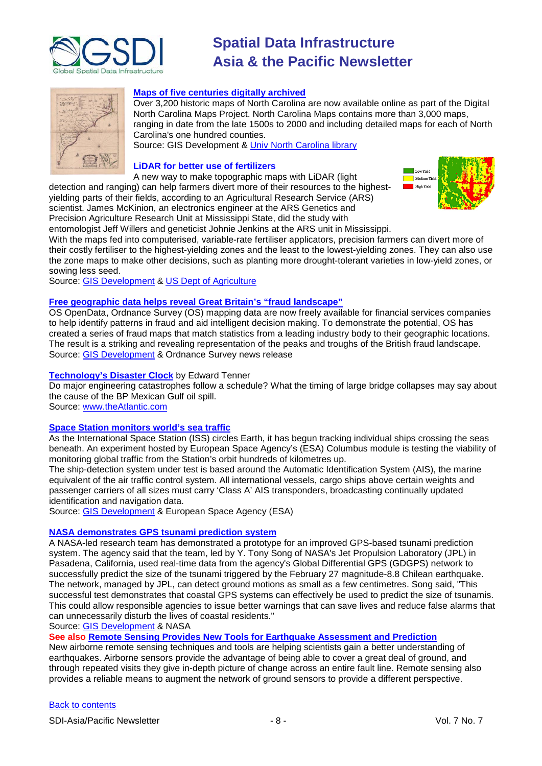



#### **[Maps of five centuries digitally archived](http://beta.gisdevelopment.net/index.php?option=com_content&view=article&id=17808%3Afive-centuries-of-maps-digitally-archived-online&catid=48%3Aproduct-cartography-map-publishing&Itemid=1)**

Over 3,200 historic maps of North Carolina are now available online as part of the Digital North Carolina Maps Project. North Carolina Maps contains more than 3,000 maps, ranging in date from the late 1500s to 2000 and including detailed maps for each of North Carolina's one hundred counties.

Source: GIS Development & [Univ North Carolina library](http://www.lib.unc.edu/dc/ncmaps/)

#### **LiDAR for [better](http://www.ars.usda.gov/is/pr/2010/100609.htm) use of fertilizers**

A new way to make topographic maps with LiDAR (light detection and ranging) can help farmers divert more of their resources to the highestyielding parts of their fields, according to an Agricultural Research Service (ARS) scientist. James McKinion, an electronics engineer at the ARS Genetics and Precision Agriculture Research Unit at Mississippi State, did the study with



entomologist Jeff Willers and geneticist Johnie Jenkins at the ARS unit in Mississippi. With the maps fed into computerised, variable-rate fertiliser applicators, precision farmers can divert more of their costly fertiliser to the highest-yielding zones and the least to the lowest-yielding zones. They can also use the zone maps to make other decisions, such as planting more drought-tolerant varieties in low-yield zones, or sowing less seed.

Source: [GIS Development](http://beta.gisdevelopment.net/index.php?option=com_content&view=article&id=17738%3Alidar-for-better-use-of-fertilisers&catid=51%3Aapplication-agriculture&Itemid=1) & [US Dept of Agriculture](http://www.ars.usda.gov/is/pr/2010/100609.htm)

#### **[Free geographic data helps reveal Great Britain's "fraud landscape"](http://www.ordnancesurvey.co.uk/oswebsite/media/news/2010/june/fraudmap.html)**

OS OpenData, Ordnance Survey (OS) mapping data are now freely available for financial services companies to help identify patterns in fraud and aid intelligent decision making. To demonstrate the potential, OS has created a series of fraud maps that match statistics from a leading industry body to their geographic locations. The result is a striking and revealing representation of the peaks and troughs of the British fraud landscape. Source: [GIS Development](http://beta.gisdevelopment.net/index.php?option=com_content&view=article&id=17716%3Aos%20%20-mapping-data-to-identify-fraud&catid=66%3Aapplication-miscellaneous&Itemid=1) & Ordnance Survey news release

#### **[Technology's Disaster Clock](http://www.theatlantic.com/science/archive/2010/06/technologys-disaster-clock/58367/)** by Edward Tenner

Do major engineering catastrophes follow a schedule? What the timing of large bridge collapses may say about the cause of the BP Mexican Gulf oil spill.

Source: [www.theAtlantic.com](http://www.theatlantic.com/)

#### **[Space Station monitors world's sea traffic](http://www.esa.int/esaCP/SEMILOPK2AG_index_0.html)**

As the International Space Station (ISS) circles Earth, it has begun tracking individual ships crossing the seas beneath. An experiment hosted by European Space Agency's (ESA) Columbus module is testing the viability of monitoring global traffic from the Station's orbit hundreds of kilometres up.

The ship-detection system under test is based around the Automatic Identification System (AIS), the marine equivalent of the air traffic control system. All international vessels, cargo ships above certain weights and passenger carriers of all sizes must carry 'Class A' AIS transponders, broadcasting continually updated identification and navigation data.

Source: [GIS Development](http://beta.gisdevelopment.net/index.php?option=com_content&view=article&id=17785%3Aspace-station-monitors-worlds-sea-traffic&catid=61%3Aapplication-transportation-navigation&Itemid=1) & European Space Agency (ESA)

#### **[NASA demonstrates GPS tsunami prediction system](http://www1.nasa.gov/topics/earth/features/tsunami_prediction_prt.htm)**

A NASA-led research team has demonstrated a prototype for an improved GPS-based tsunami prediction system. The agency said that the team, led by Y. Tony Song of NASA's Jet Propulsion Laboratory (JPL) in Pasadena, California, used real-time data from the agency's Global Differential GPS (GDGPS) network to successfully predict the size of the tsunami triggered by the February 27 magnitude-8.8 Chilean earthquake. The network, managed by JPL, can detect ground motions as small as a few centimetres. Song said, "This successful test demonstrates that coastal GPS systems can effectively be used to predict the size of tsunamis. This could allow responsible agencies to issue better warnings that can save lives and reduce false alarms that can unnecessarily disturb the lives of coastal residents."

Source: [GIS Development](http://beta.gisdevelopment.net/index.php?option=com_content&view=article&id=17773%3Anasa-demonstrates-gps-tsunami-prediction-system&catid=53%3Aapplication-natural-hazard-management&Itemid=1) & NASA

**See also [Remote Sensing Provides New Tools for Earthquake Assessment and Prediction](http://asmmag.com/features/remote-sensing-provides-new-tools-for-earthquake-assessment-and-prediction)**

New airborne remote sensing techniques and tools are helping scientists gain a better understanding of earthquakes. Airborne sensors provide the advantage of being able to cover a great deal of ground, and through repeated visits they give in-depth picture of change across an entire fault line. Remote sensing also provides a reliable means to augment the network of ground sensors to provide a different perspective.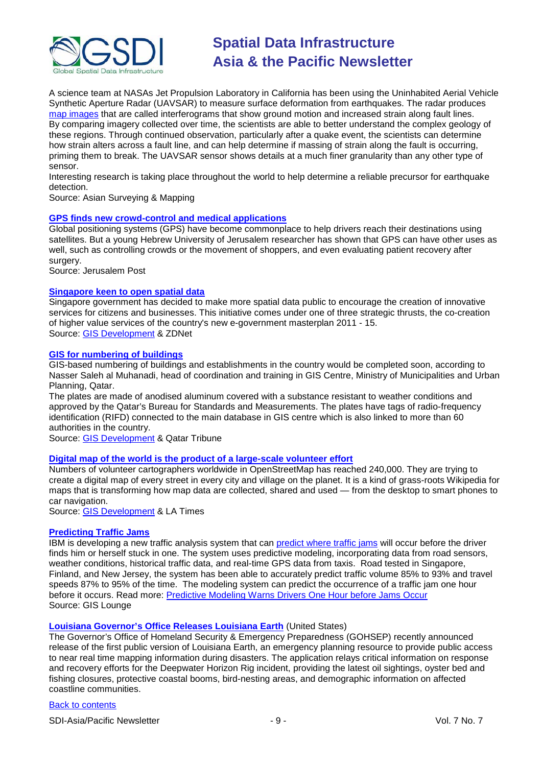

A science team at NASAs Jet Propulsion Laboratory in California has been using the Uninhabited Aerial Vehicle Synthetic Aperture Radar (UAVSAR) to measure surface deformation from earthquakes. The radar produces [map images](http://www.nasa.gov/topics/earth/features/UAVSARimage20100623.html) that are called interferograms that show ground motion and increased strain along fault lines. By comparing imagery collected over time, the scientists are able to better understand the complex geology of these regions. Through continued observation, particularly after a quake event, the scientists can determine how strain alters across a fault line, and can help determine if massing of strain along the fault is occurring, priming them to break. The UAVSAR sensor shows details at a much finer granularity than any other type of sensor.

Interesting research is taking place throughout the world to help determine a reliable precursor for earthquake detection.

Source: Asian Surveying & Mapping

# **[GPS finds new crowd-control and medical applications](http://www.jpost.com/Home/Article.aspx?id=177600)**

Global positioning systems (GPS) have become commonplace to help drivers reach their destinations using satellites. But a young Hebrew University of Jerusalem researcher has shown that GPS can have other uses as well, such as controlling crowds or the movement of shoppers, and even evaluating patient recovery after surgery.

Source: Jerusalem Post

#### **[Singapore keen to open spatial data](http://www.zdnetasia.com/s-pore-seeks-new-wave-of-innovative-collaboration-62200721.htm)**

Singapore government has decided to make more spatial data public to encourage the creation of innovative services for citizens and businesses. This initiative comes under one of three strategic thrusts, the co-creation of higher value services of the country's new e-government masterplan 2011 - 15. Source: [GIS Development](http://beta.gisdevelopment.net/index.php?option=com_content&view=article&id=17758%3Asingapore-keen-to-open-spatial-data&catid=78%3Amiscellaneous-policy&Itemid=1) & ZDNet

#### **[GIS for numbering of buildings](http://www.qatar-tribune.com/data/20100615/content.asp?section=Nation3_1)**

GIS-based numbering of buildings and establishments in the country would be completed soon, according to Nasser Saleh al Muhanadi, head of coordination and training in GIS Centre, Ministry of Municipalities and Urban Planning, Qatar.

The plates are made of anodised aluminum covered with a substance resistant to weather conditions and approved by the Qatar's Bureau for Standards and Measurements. The plates have tags of radio-frequency identification (RIFD) connected to the main database in GIS centre which is also linked to more than 60 authorities in the country.

Source: [GIS Development](http://beta.gisdevelopment.net/index.php?option=com_content&view=article&id=17800%3Agis-for-numbering-of-buildings&catid=60%3Aapplication-utility&Itemid=1) & Qatar Tribune

#### **[Digital map of the world is the product of a large-scale volunteer effort](http://articles.latimes.com/2010/jun/09/business/la-fi-digital-maps-20100609)**

Numbers of volunteer cartographers worldwide in OpenStreetMap has reached 240,000. They are trying to create a digital map of every street in every city and village on the planet. It is a kind of grass-roots Wikipedia for maps that is transforming how map data are collected, shared and used — from the desktop to smart phones to car navigation.

Source: [GIS Development](http://beta.gisdevelopment.net/index.php?option=com_content&view=article&id=17776%3A240000-volunteers-create-digital-map-of-world&catid=48%3Aproduct-cartography-map-publishing&Itemid=1) & LA Times

#### **[Predicting Traffic Jams](http://gislounge.com/predicting-traffic-jams/)**

IBM is developing a new traffic analysis system that can [predict where traffic jams](http://domino.research.ibm.com/comm/research.nsf/pages/r.statistics.innovation.traffic.html) will occur before the driver finds him or herself stuck in one. The system uses predictive modeling, incorporating data from road sensors, weather conditions, historical traffic data, and real-time GPS data from taxis. Road tested in Singapore, Finland, and New Jersey, the system has been able to accurately predict traffic volume 85% to 93% and travel speeds 87% to 95% of the time. The modeling system can predict the occurrence of a traffic jam one hour before it occurs. Read more: Predictive Modeling [Warns Drivers One Hour before Jams Occur](http://www.scientificamerican.com/article.cfm?id=traffic-avoided) Source: GIS Lounge

#### **[Louisiana Governor's Office Releases Louisiana Earth](http://www.i-newswire.com/governor-s-office-releases-louisiana/45339)** (United States)

The Governor's Office of Homeland Security & Emergency Preparedness (GOHSEP) recently announced release of the first public version of Louisiana Earth, an emergency planning resource to provide public access to near real time mapping information during disasters. The application relays critical information on response and recovery efforts for the Deepwater Horizon Rig incident, providing the latest oil sightings, oyster bed and fishing closures, protective coastal booms, bird-nesting areas, and demographic information on affected coastline communities.

#### [Back to contents](#page-0-0)

SDI-Asia/Pacific Newsletter  $\overline{9}$  - 9 -  $\overline{9}$  - 9 -  $\overline{9}$  Vol. 7 No. 7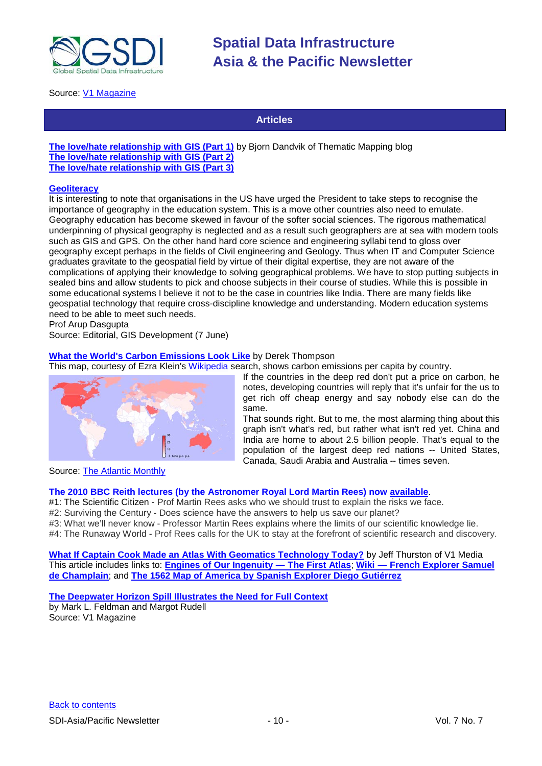

Source: [V1 Magazine](http://www.vector1media.com/news/top-stories/53-corporate-news/13797-governors-office-releases-louisiana-earth)

# **Articles**

**[The love/hate relationship with GIS \(Part 1\)](http://blog.thematicmapping.org/2010/06/love-haterelationship-with-gis-part-1.html)** by Bjorn Dandvik of Thematic Mapping blog **[The love/hate relationship with GIS \(Part 2\)](http://blog.thematicmapping.org/2010/06/lovehate-relationship-with-gis-part-2.html) [The love/hate relationship with GIS \(Part 3\)](http://blog.thematicmapping.org/2010/06/lovehate-relationship-with-gis-part-3.html)**

#### **[Geoliteracy](http://www.gisdevelopment.net/ezine/weekly/jun0710.htm)**

It is interesting to note that organisations in the US have urged the President to take steps to recognise the importance of geography in the education system. This is a move other countries also need to emulate. Geography education has become skewed in favour of the softer social sciences. The rigorous mathematical underpinning of physical geography is neglected and as a result such geographers are at sea with modern tools such as GIS and GPS. On the other hand hard core science and engineering syllabi tend to gloss over geography except perhaps in the fields of Civil engineering and Geology. Thus when IT and Computer Science graduates gravitate to the geospatial field by virtue of their digital expertise, they are not aware of the complications of applying their knowledge to solving geographical problems. We have to stop putting subjects in sealed bins and allow students to pick and choose subjects in their course of studies. While this is possible in some educational systems I believe it not to be the case in countries like India. There are many fields like geospatial technology that require cross-discipline knowledge and understanding. Modern education systems need to be able to meet such needs.

Prof Arup Dasgupta

Source: Editorial, GIS Development (7 June)

# **[What the World's Carbon Emissions Look](http://www.theatlantic.com/business/archive/2010/06/what-the-worlds-carbon-emissions-look-like/58060/) Like** by Derek Thompson

This map, courtesy of Ezra Klein's [Wikipedia](http://en.wikipedia.org/wiki/List_of_countries_by_carbon_dioxide_emissions_per_capita) search, shows carbon emissions per capita by country.



If the countries in the deep red don't put a price on carbon, he notes, developing countries will reply that it's unfair for the us to get rich off cheap energy and say nobody else can do the same.

That sounds right. But to me, the most alarming thing about this graph isn't what's red, but rather what isn't red yet. China and India are home to about 2.5 billion people. That's equal to the population of the largest deep red nations -- United States, Canada, Saudi Arabia and Australia -- times seven.

Source: [The Atlantic Monthly](http://www.theatlantic.com/)

#### **The 2010 BBC Reith lectures (by the Astronomer Royal Lord Martin Rees) now [available](http://www.bbc.co.uk/programmes/b00729d9)**.

#1: The Scientific Citizen - Prof Martin Rees asks who we should trust to explain the risks we face.

#2: Surviving the Century - Does science have the answers to help us save our planet?

#3: What we'll never know - Professor Martin Rees explains where the limits of our scientific knowledge lie.

#4: The Runaway World - Prof Rees calls for the UK to stay at the forefront of scientific research and discovery.

**[What If Captain Cook Made an Atlas With Geomatics Technology Today?](http://vector1media.com/dialogue/perspectives/13787-what-if-captain-cook-made-an-atlas-with-geomatics-technology-today)** by Jeff Thurston of V1 Media This article includes links to: **[Engines of Our Ingenuity](http://www.uh.edu/engines/epi889.htm) — The First Atlas**; **Wiki — [French Explorer Samuel](http://en.wikipedia.org/wiki/Samuel_de_Champlain)  [de Champlain](http://en.wikipedia.org/wiki/Samuel_de_Champlain)**; and **[The 1562 Map of America by Spanish Explorer Diego Gutiérrez](http://memory.loc.gov/ammem/gmdhtml/gutierrz.html)**

**[The Deepwater Horizon Spill Illustrates the Need for Full Context](http://www.vector1media.com/articles/columns/13783-the-deepwater-horizon-spill-illustrates-the-need-for-full-context)**

by Mark L. Feldman and Margot Rudell Source: V1 Magazine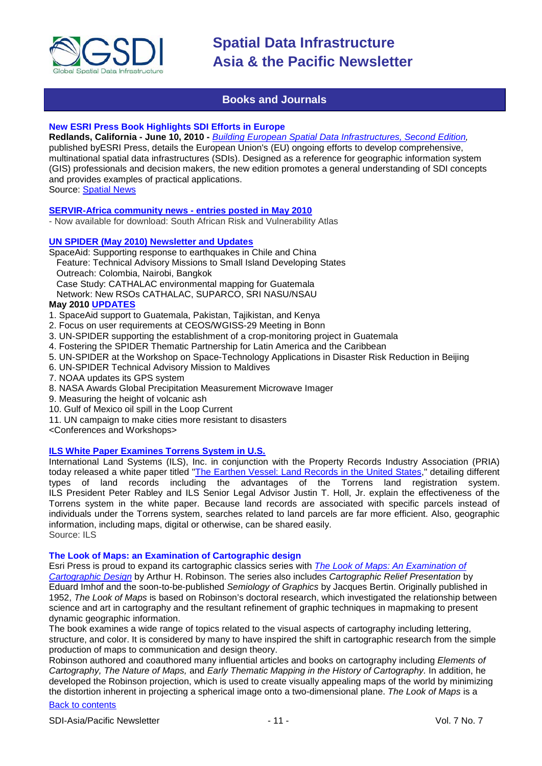

# **Books and Journals**

# <span id="page-10-0"></span>**New ESRI Press Book Highlights SDI Efforts in Europe**

**Redlands, California - June 10, 2010 -** *[Building European Spatial Data Infrastructures, Second Edition,](http://esripress.esri.com/display/index.cfm?fuseaction=display&websiteID=174&moduleID=0)*  published byESRI Press, details the European Union's (EU) ongoing efforts to develop comprehensive, multinational spatial data infrastructures (SDIs). Designed as a reference for geographic information system (GIS) professionals and decision makers, the new edition promotes a general understanding of SDI concepts and provides examples of practical applications. Source: [Spatial News](http://spatialnews.geocomm.com/dailynews/2010/jun/11/news2.html)

#### **[SERVIR-Africa community news -](http://www.servir.net/africa/index.php?option=com_mamblog&Itemid=54&task=show&action=all&id=0&ignorecount=1) entries posted in May 2010**

- Now available for download: South African Risk and Vulnerability Atlas

#### **[UN SPIDER \(May 2010\) Newsletter and Updates](http://www.un-spider.org/content/3534/un-spider-newsletter-may-2010)**

SpaceAid: Supporting response to earthquakes in Chile and China Feature: Technical Advisory Missions to Small Island Developing States Outreach: Colombia, Nairobi, Bangkok Case Study: CATHALAC environmental mapping for Guatemala

Network: New RSOs CATHALAC, SUPARCO, SRI NASU/NSAU

# **May 2010 [UPDATES](http://www.un-spider.org/content/3551/may-2010)**

- 1. SpaceAid support to Guatemala, Pakistan, Tajikistan, and Kenya
- 2. Focus on user requirements at CEOS/WGISS-29 Meeting in Bonn
- 3. UN-SPIDER supporting the establishment of a crop-monitoring project in Guatemala
- 4. Fostering the SPIDER Thematic Partnership for Latin America and the Caribbean
- 5. UN-SPIDER at the Workshop on Space-Technology Applications in Disaster Risk Reduction in Beijing
- 6. UN-SPIDER Technical Advisory Mission to Maldives
- 7. NOAA updates its GPS system
- 8. NASA Awards Global Precipitation Measurement Microwave Imager
- 9. Measuring the height of volcanic ash
- 10. Gulf of Mexico oil spill in the Loop Current
- 11. UN campaign to make cities more resistant to disasters

<Conferences and Workshops>

# **[ILS White Paper Examines Torrens System in U.S.](http://en.landsystems.com/content/view/163/19/)**

International Land Systems (ILS), Inc. in conjunction with the Property Records Industry Association (PRIA) today released a white paper titled ["The Earthen Vessel: Land Records in the United States,](http://en.landsystems.com/downloads/white_papers/PRIA_Paper_Earthen_Vessel_final_rev1.pdf)" detailing different types of land records including the advantages of the Torrens land registration system. ILS President Peter Rabley and ILS Senior Legal Advisor Justin T. Holl, Jr. explain the effectiveness of the Torrens system in the white paper. Because land records are associated with specific parcels instead of individuals under the Torrens system, searches related to land parcels are far more efficient. Also, geographic information, including maps, digital or otherwise, can be shared easily. Source: ILS

#### **The Look of Maps: an Examination of Cartographic design**

Esri Press is proud to expand its cartographic classics series with *[The Look of Maps: An Examination of](http://esripress.esri.com/display/index.cfm?fuseaction=display&websiteID=175&moduleID=0)  [Cartographic Design](http://esripress.esri.com/display/index.cfm?fuseaction=display&websiteID=175&moduleID=0)* by Arthur H. Robinson. The series also includes *Cartographic Relief Presentation* by Eduard Imhof and the soon-to-be-published *Semiology of Graphics* by Jacques Bertin. Originally published in 1952, *The Look of Maps* is based on Robinson's doctoral research, which investigated the relationship between science and art in cartography and the resultant refinement of graphic techniques in mapmaking to present dynamic geographic information.

The book examines a wide range of topics related to the visual aspects of cartography including lettering, structure, and color. It is considered by many to have inspired the shift in cartographic research from the simple production of maps to communication and design theory.

Robinson authored and coauthored many influential articles and books on cartography including *Elements of Cartography, The Nature of Maps,* and *Early Thematic Mapping in the History of Cartography.* In addition, he developed the Robinson projection, which is used to create visually appealing maps of the world by minimizing the distortion inherent in projecting a spherical image onto a two-dimensional plane. *The Look of Maps* is a

#### [Back to contents](#page-0-0)

SDI-Asia/Pacific Newsletter  $\sim$  11 - The SN No. 7 No. 7 No. 7 No. 7 No. 7 No. 7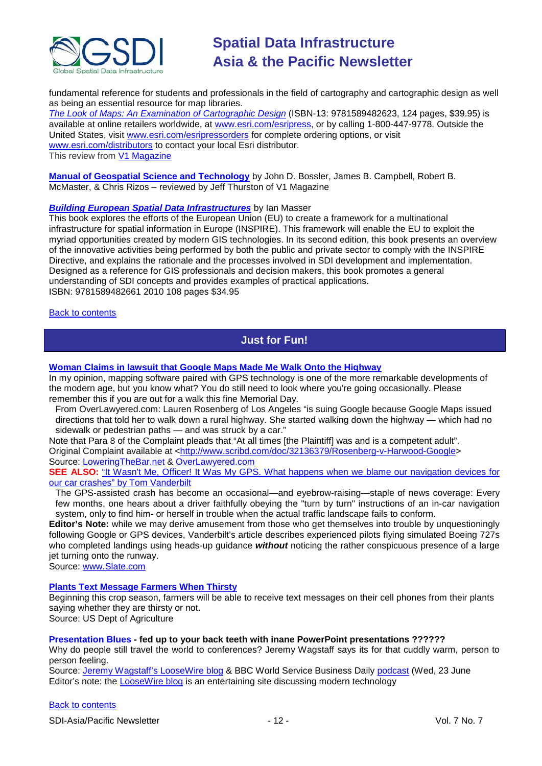

fundamental reference for students and professionals in the field of cartography and cartographic design as well as being an essential resource for map libraries.

*[The Look of Maps: An Examination of Cartographic Design](http://esripress.esri.com/display/index.cfm?fuseaction=display&websiteID=175&moduleID=0)* (ISBN-13: 9781589482623, 124 pages, \$39.95) is available at online retailers worldwide, at [www.esri.com/esripress,](http://www.esri.com/esripress) or by calling 1-800-447-9778. Outside the United States, visit [www.esri.com/esripressorders](http://www.esri.com/esripressorders) for complete ordering options, or visit [www.esri.com/distributors](http://www.esri.com/distributors) to contact your local Esri distributor. This review from [V1 Magazine](http://www.vector1media.com/news/top-stories/53-corporate-news/13786-the-look-of-maps-the-latest-book-from-esri-press-cartographic-classics-series)

**[Manual of Geospatial Science and Technology](http://www.vector1media.com/articles/reviews/13263-manual-of-geospatial-science-and-technology)** by John D. Bossler, James B. Campbell, Robert B. McMaster, & Chris Rizos – reviewed by Jeff Thurston of V1 Magazine

# *[Building European Spatial Data Infrastructures](http://esripress.esri.com/display/index.cfm?fuseaction=display&websiteID=174&moduleID=0)* by Ian Masser

This book explores the efforts of the European Union (EU) to create a framework for a multinational infrastructure for spatial information in Europe (INSPIRE). This framework will enable the EU to exploit the myriad opportunities created by modern GIS technologies. In its second edition, this book presents an overview of the innovative activities being performed by both the public and private sector to comply with the INSPIRE Directive, and explains the rationale and the processes involved in SDI development and implementation. Designed as a reference for GIS professionals and decision makers, this book promotes a general understanding of SDI concepts and provides examples of practical applications. ISBN: 9781589482661 2010 108 pages \$34.95

#### <span id="page-11-0"></span>**[Back to contents](#page-0-0)**

# **Just for Fun!**

#### **[Woman Claims in lawsuit that Google Maps Made Me Walk Onto the Highway](http://www.loweringthebar.net/2010/05/google-maps-made-me-walk-onto-the-highway-woman-claims.html)**

In my opinion, mapping software paired with GPS technology is one of the more remarkable developments of the modern age, but you know what? You do still need to look where you're going occasionally. Please remember this if you are out for a walk this fine Memorial Day.

From OverLawyered.com: Lauren Rosenberg of Los Angeles "is suing Google because Google Maps issued directions that told her to walk down a rural highway. She started walking down the highway — which had no sidewalk or pedestrian paths — and was struck by a car."

Note that Para 8 of the Complaint pleads that "At all times [the Plaintiff] was and is a competent adult". Original Complaint available at [<http://www.scribd.com/doc/32136379/Rosenberg-v-Harwood-Google>](http://www.scribd.com/doc/32136379/Rosenberg-v-Harwood-Google) Source: [LoweringTheBar.net](http://www.loweringthebar.net/) & [OverLawyered.com](http://overlawyered.com/2010/05/by-reader-acclaim-sues-google-over-map-instruction/)

**SEE ALSO:** "It Wasn't Me, Officer! It Was My GPS. What happens when we blame our navigation devices for our car crashes" [by Tom Vanderbilt](http://www.slate.com/id/2256493/pagenum/all/#p2)

The GPS-assisted crash has become an occasional—and eyebrow-raising—staple of news coverage: Every few months, one hears about a driver faithfully obeying the "turn by turn" instructions of an in-car navigation system, only to find him- or herself in trouble when the actual traffic landscape fails to conform.

**Editor's Note:** while we may derive amusement from those who get themselves into trouble by unquestioningly following Google or GPS devices, Vanderbilt's article describes experienced pilots flying simulated Boeing 727s who completed landings using heads-up guidance *without* noticing the rather conspicuous presence of a large jet turning onto the runway.

Source: [www.Slate.com](http://www.slate.com/)

#### **[Plants Text Message Farmers When Thirsty](http://www.ars.usda.gov/is/pr/2008/080429.htm)**

Beginning this crop season, farmers will be able to receive text messages on their cell phones from their plants saying whether they are thirsty or not.

Source: US Dept of Agriculture

#### **Presentation Blues - fed up to your back teeth with inane PowerPoint presentations ??????**

Why do people still travel the world to conferences? Jeremy Wagstaff says its for that cuddly warm, person to person feeling.

Source: [Jeremy Wagstaff's LooseWire blog](http://www.loosewireblog.com/2010/05/presentation-blues.html) & BBC World Service Business Daily [podcast](http://downloads.bbc.co.uk/podcasts/worldservice/bizdaily/bizdaily_20100623-0832a.mp3) (Wed, 23 June Editor's note: the [LooseWire blog](http://www.loosewireblog.com/) is an entertaining site discussing modern technology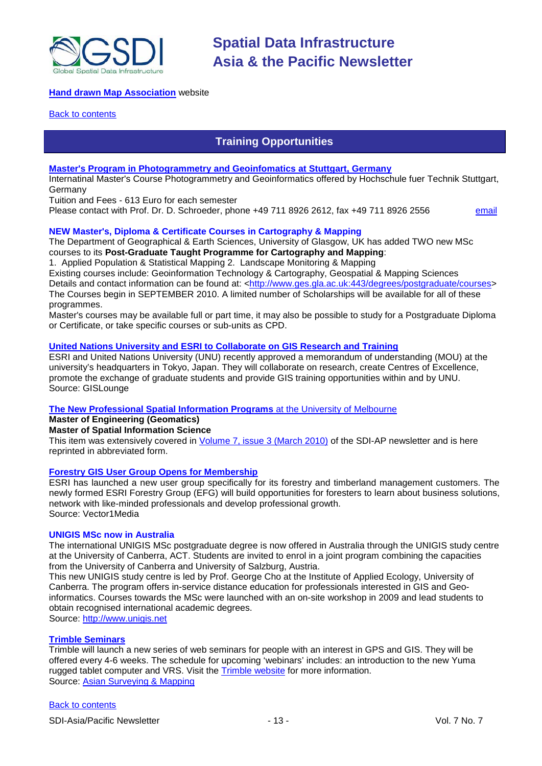

# **[Hand drawn Map Association](http://www.handmaps.org/index.php)** website

#### <span id="page-12-0"></span>**[Back to contents](#page-0-0)**

# **Training Opportunities**

#### **[Master's Program in Photogrammetry and Geoinfomatics at Stuttgart, Germany](http://www.hft-stuttgart.de/)**

Internatinal Master's Course Photogrammetry and Geoinformatics offered by Hochschule fuer Technik Stuttgart, Germany

Tuition and Fees - 613 Euro for each semester

Please contact with Prof. Dr. D. Schroeder, phone +49 711 8926 2612, fax +49 711 8926 2556 [email](mailto:MSc-Manager@hft-stuttgart.de)

# **NEW Master's, Diploma & Certificate Courses in Cartography & Mapping**

The Department of Geographical & Earth Sciences, University of Glasgow, UK has added TWO new MSc courses to its **Post-Graduate Taught Programme for Cartography and Mapping**:

1. Applied Population & Statistical Mapping 2. Landscape Monitoring & Mapping

Existing courses include: Geoinformation Technology & Cartography, Geospatial & Mapping Sciences

Details and contact information can be found at: [<http://www.ges.gla.ac.uk:443/degrees/postgraduate/courses>](http://www.ges.gla.ac.uk:443/degrees/postgraduate/courses) The Courses begin in SEPTEMBER 2010. A limited number of Scholarships will be available for all of these programmes.

Master's courses may be available full or part time, it may also be possible to study for a Postgraduate Diploma or Certificate, or take specific courses or sub-units as CPD.

### **[United Nations University and ESRI to Collaborate on GIS Research and Training](http://news.gislounge.com/2010/02/united-nations-university-and-esri-to-collaborate-on-gis-research-and-training/?utm_source=feedburner&utm_medium=feed&utm_campaign=Feed%3A+GeospatialPressReleases+%28Geospatial+Press+Releases%29)**

ESRI and United Nations University (UNU) recently approved a memorandum of understanding (MOU) at the university's headquarters in Tokyo, Japan. They will collaborate on research, create Centres of Excellence, promote the exchange of graduate students and provide GIS training opportunities within and by UNU. Source: GISLounge

# **[The New Professional Spatial Information Programs](http://www.geom.unimelb.edu.au/future/masters.html)** at the [University of Melbourne](http://www.unimelb.edu.au/)

# **Master of Engineering (Geomatics)**

# **Master of Spatial Information Science**

This item was extensively covered in [Volume 7, issue 3 \(March 2010\)](http://portal.gsdi.org/files/?artifact_id=688) of the SDI-AP newsletter and is here reprinted in abbreviated form.

#### **[Forestry GIS User Group Opens for Membership](http://www.vector1media.com/news/top-stories/53-corporate-news/8187-forestry-gis-user-group-opens-for-membership)**

ESRI has launched a new user group specifically for its forestry and timberland management customers. The newly formed ESRI Forestry Group (EFG) will build opportunities for foresters to learn about business solutions, network with like-minded professionals and develop professional growth. Source: Vector1Media

#### **UNIGIS MSc now in Australia**

The international UNIGIS MSc postgraduate degree is now offered in Australia through the UNIGIS study centre at the University of Canberra, ACT. Students are invited to enrol in a joint program combining the capacities from the University of Canberra and University of Salzburg, Austria.

This new UNIGIS study centre is led by Prof. George Cho at the Institute of Applied Ecology, University of Canberra. The program offers in-service distance education for professionals interested in GIS and Geoinformatics. Courses towards the MSc were launched with an on-site workshop in 2009 and lead students to obtain recognised international academic degrees.

Source: [http://www.unigis.net](http://www.unigis.net/)

#### **[Trimble Seminars](http://www.trimble.com/mgis/webinars.shtml)**

Trimble will launch a new series of web seminars for people with an interest in GPS and GIS. They will be offered every 4-6 weeks. The schedule for upcoming 'webinars' includes: an introduction to the new Yuma rugged tablet computer and VRS. Visit the [Trimble website](http://www.trimble.com/mgis/webinars.shtml) for more information. Source: [Asian Surveying & Mapping](http://www.asmmag.com/news)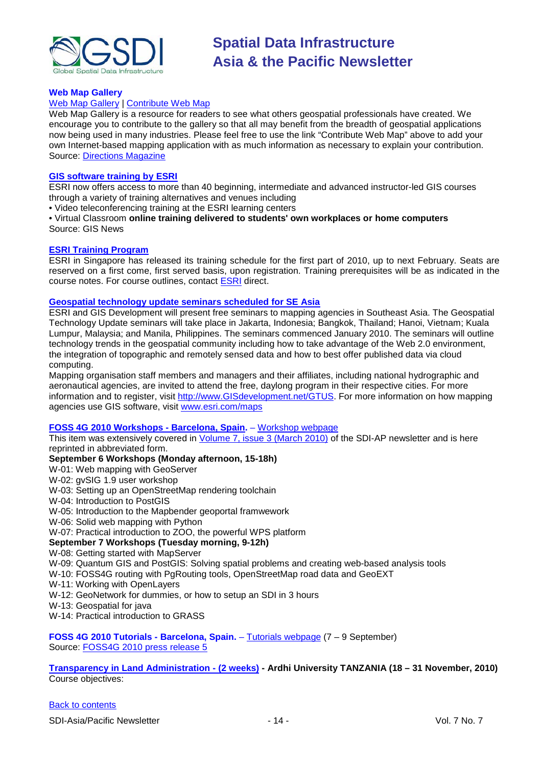

# **Web Map Gallery**

# [Web Map Gallery](http://www.directionsmag.com/webmapgallery/) | [Contribute Web Map](http://www.directionsmag.com/webmapgallery/?duty=Contribute)

Web Map Gallery is a resource for readers to see what others geospatial professionals have created. We encourage you to contribute to the gallery so that all may benefit from the breadth of geospatial applications now being used in many industries. Please feel free to use the link "Contribute Web Map" above to add your own Internet-based mapping application with as much information as necessary to explain your contribution. Source: [Directions Magazine](http://www.directionsmag.com/webmapgallery/)

#### **[GIS software training by ESRI](http://training.esri.com/gateway/index.cfm?fa=trainingOptions.gateway)**

ESRI now offers access to more than 40 beginning, intermediate and advanced instructor-led GIS courses through a variety of training alternatives and venues including

• Video teleconferencing training at the ESRI learning centers

• Virtual Classroom **online training delivered to students' own workplaces or home computers** Source: GIS News

#### **[ESRI Training Program](http://www.esrisingapore.com.sg/training.html)**

ESRI in Singapore has released its training schedule for the first part of 2010, up to next February. Seats are reserved on a first come, first served basis, upon registration. Training prerequisites will be as indicated in the course notes. For course outlines, contact [ESRI](mailto:training@esrisa.com) direct.

#### **[Geospatial technology update seminars scheduled for SE Asia](http://www.esri.com/news/releases/10_1qtr/geo-tech.html)**

ESRI and GIS Development will present free seminars to mapping agencies in Southeast Asia. The Geospatial Technology Update seminars will take place in Jakarta, Indonesia; Bangkok, Thailand; Hanoi, Vietnam; Kuala Lumpur, Malaysia; and Manila, Philippines. The seminars commenced January 2010. The seminars will outline technology trends in the geospatial community including how to take advantage of the Web 2.0 environment, the integration of topographic and remotely sensed data and how to best offer published data via cloud computing.

Mapping organisation staff members and managers and their affiliates, including national hydrographic and aeronautical agencies, are invited to attend the free, daylong program in their respective cities. For more information and to register, visit [http://www.GISdevelopment.net/GTUS.](http://www.gisdevelopment.net/GTUS) For more information on how mapping agencies use GIS software, visit [www.esri.com/maps](http://www.esri.com/maps)

#### **[FOSS 4G 2010 Workshops -](http://2010.foss4g.org/) Barcelona, Spain.** – [Workshop webpage](http://2010.foss4g.org/workshop02.php)

This item was extensively covered in [Volume 7, issue 3 \(March 2010\)](http://portal.gsdi.org/files/?artifact_id=688) of the SDI-AP newsletter and is here reprinted in abbreviated form.

#### **September 6 Workshops (Monday afternoon, 15-18h)**

- W-01: Web mapping with GeoServer
- W-02: gvSIG 1.9 user workshop
- W-03: Setting up an OpenStreetMap rendering toolchain
- W-04: Introduction to PostGIS
- W-05: Introduction to the Mapbender geoportal framwework
- W-06: Solid web mapping with Python
- W-07: Practical introduction to ZOO, the powerful WPS platform

# **September 7 Workshops (Tuesday morning, 9-12h)**

#### W-08: Getting started with MapServer

W-09: Quantum GIS and PostGIS: Solving spatial problems and creating web-based analysis tools

- W-10: FOSS4G routing with PgRouting tools, OpenStreetMap road data and GeoEXT
- W-11: Working with OpenLayers
- W-12: GeoNetwork for dummies, or how to setup an SDI in 3 hours
- W-13: Geospatial for java
- W-14: Practical introduction to GRASS

**FOSS 4G 2010 Tutorials - Barcelona, Spain.** – [Tutorials webpage](http://2010.foss4g.org/tutorial01.php) (7 – 9 September) Source: FOSS4G [2010 press release 5](http://wiki.osgeo.org/wiki/FOSS4G_2010_Press_Release_5)

**[Transparency in Land Administration -](http://www.aru.ac.tz/page.php?id=136) (2 weeks) - Ardhi University TANZANIA (18 – 31 November, 2010)** Course objectives: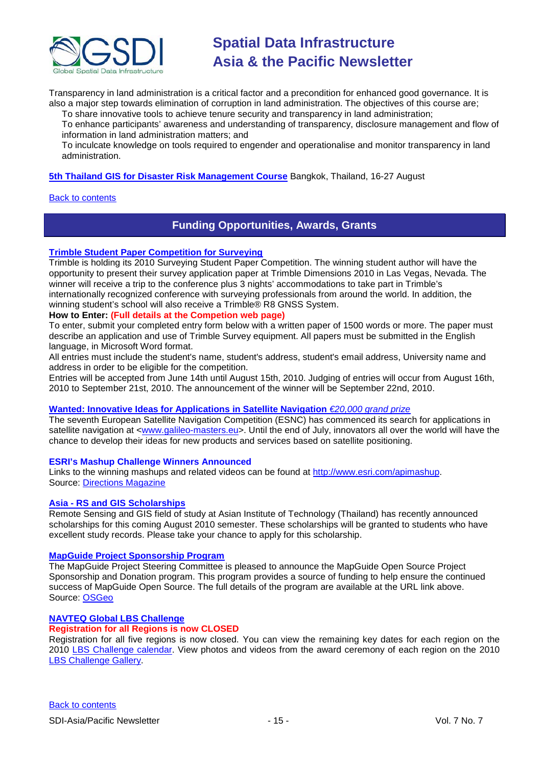

Transparency in land administration is a critical factor and a precondition for enhanced good governance. It is also a major step towards elimination of corruption in land administration. The objectives of this course are;

To share innovative tools to achieve tenure security and transparency in land administration; To enhance participants' awareness and understanding of transparency, disclosure management and flow of information in land administration matters; and

To inculcate knowledge on tools required to engender and operationalise and monitor transparency in land administration.

**[5th Thailand GIS for Disaster Risk Management Course](http://www.adpc.net/v2007/TRG/TRAINING%20COURSES/INTERNATIONAL%20COURSES/2010/GIS/Default.asp)** Bangkok, Thailand, 16-27 August

#### <span id="page-14-0"></span>**[Back to contents](#page-0-0)**

# **Funding Opportunities, Awards, Grants**

#### **[Trimble Student Paper Competition for Surveying](http://www.trimbledimensions.com/StudentPaperPromotion/default.aspx)**

Trimble is holding its 2010 Surveying Student Paper Competition. The winning student author will have the opportunity to present their survey application paper at Trimble Dimensions 2010 in Las Vegas, Nevada. The winner will receive a trip to the conference plus 3 nights' accommodations to take part in Trimble's internationally recognized conference with surveying professionals from around the world. In addition, the winning student's school will also receive a Trimble® R8 GNSS System.

# **How to Enter: (Full details at the Competion web page)**

To enter, submit your completed entry form below with a written paper of 1500 words or more. The paper must describe an application and use of Trimble Survey equipment. All papers must be submitted in the English language, in Microsoft Word format.

All entries must include the student's name, student's address, student's email address, University name and address in order to be eligible for the competition.

Entries will be accepted from June 14th until August 15th, 2010. Judging of entries will occur from August 16th, 2010 to September 21st, 2010. The announcement of the winner will be September 22nd, 2010.

#### **Wanted: Innovative [Ideas for Applications in Satellite Navigation](http://www.galileo-masters.eu/index.php?kat=press.html&anzeige=press27.html)** *€20,000 grand prize*

The seventh European Satellite Navigation Competition (ESNC) has commenced its search for applications in satellite navigation at [<www.galileo-masters.eu>](http://www.galileo-masters.eu/). Until the end of July, innovators all over the world will have the chance to develop their ideas for new products and services based on satellite positioning.

#### **ESRI's Mashup Challenge Winners Announced**

Links to the winning mashups and related videos can be found at [http://www.esri.com/apimashup.](http://www.esri.com/software/mapping_for_everyone/api/mashup.html) Source: [Directions Magazine](http://www.directionsmag.com/press.releases/?duty=Show&id=45995)

#### **Asia - [RS and GIS Scholarships](http://www.ait.ac.th/AIT/admissions/Current_Scholarships)**

Remote Sensing and GIS field of study at Asian Institute of Technology (Thailand) has recently announced scholarships for this coming August 2010 semester. These scholarships will be granted to students who have excellent study records. Please take your chance to apply for this scholarship.

#### **[MapGuide Project Sponsorship Program](http://mapguide.osgeo.org/sponsorship)**

The MapGuide Project Steering Committee is pleased to announce the MapGuide Open Source Project Sponsorship and Donation program. This program provides a source of funding to help ensure the continued success of MapGuide Open Source. The full details of the program are available at the URL link above. Source: [OSGeo](http://www.osgeo.org/node/978)

#### **[NAVTEQ Global LBS](http://developer.navteq.com/site/global/market/lbs_challenge/p_lbs_home.jsp) Challenge**

#### **Registration for all Regions is now CLOSED**

Registration for all five regions is now closed. You can view the remaining key dates for each region [on the](http://www.nn4d.com/site/global/market/lbs_challenge/about/key_dates/p_key_dates.jsp)  [2010 LBS Challenge calendar. V](http://www.nn4d.com/site/global/market/lbs_challenge/about/key_dates/p_key_dates.jsp)iew photos and videos from the award ceremony of each region on the [2010](http://www.nn4d.com/site/global/market/lbs_challenge/gallery/2010_lbschallenge/p_2010lbschallenge.jsp)  [LBS Challenge Gallery.](http://www.nn4d.com/site/global/market/lbs_challenge/gallery/2010_lbschallenge/p_2010lbschallenge.jsp)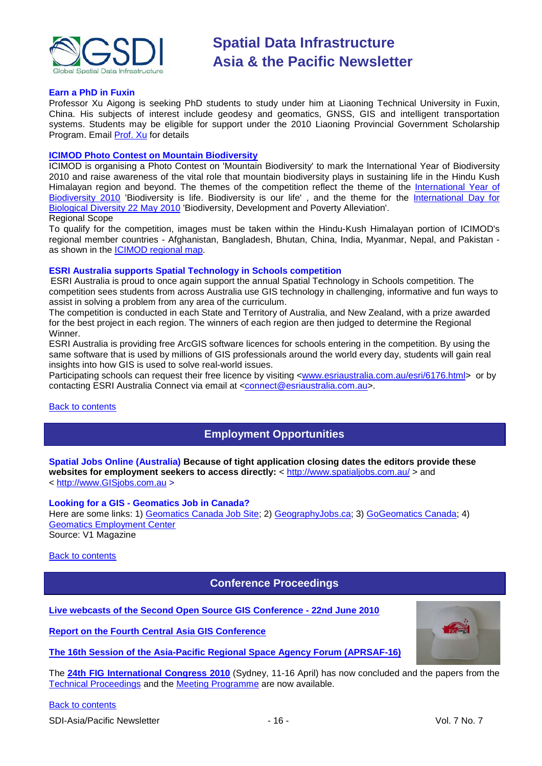

#### **Earn a PhD in Fuxin**

Professor Xu Aigong is seeking PhD students to study under him at Liaoning Technical University in Fuxin, China. His subjects of interest include geodesy and geomatics, GNSS, GIS and intelligent transportation systems. Students may be eligible for support under the 2010 Liaoning Provincial Government Scholarship Program. Email [Prof. Xu](mailto:%22xu_ag@126.com%22) for details

#### **[ICIMOD Photo Contest on Mountain Biodiversity](http://www.icimod.org/photocontest/2010/page/about)**

ICIMOD is organising a Photo Contest on 'Mountain Biodiversity' to mark the International Year of Biodiversity 2010 and raise awareness of the vital role that mountain biodiversity plays in sustaining life in the Hindu Kush Himalayan region and beyond. The themes of the competition reflect the theme of the [International](http://www.cbd.int/2010/welcome/) Year of [Biodiversity 2010](http://www.cbd.int/2010/welcome/) 'Biodiversity is life. Biodiversity is our life', and the theme for the International Day for [Biological Diversity 22 May 2010](http://www.cbd.int/idb/2010/) 'Biodiversity, Development and Poverty Alleviation'. Regional Scope

To qualify for the competition, images must be taken within the Hindu-Kush Himalayan portion of ICIMOD's regional member countries - Afghanistan, Bangladesh, Bhutan, China, India, Myanmar, Nepal, and Pakistan as shown in the [ICIMOD regional map.](http://www.icimod.org/index.php?page=43)

#### **ESRI Australia supports Spatial Technology in Schools competition**

ESRI Australia is proud to once again support the annual Spatial Technology in Schools competition. The competition sees students from across Australia use GIS technology in challenging, informative and fun ways to assist in solving a problem from any area of the curriculum.

The competition is conducted in each State and Territory of Australia, and New Zealand, with a prize awarded for the best project in each region. The winners of each region are then judged to determine the Regional Winner.

ESRI Australia is providing free ArcGIS software licences for schools entering in the competition. By using the same software that is used by millions of GIS professionals around the world every day, students will gain real insights into how GIS is used to solve real-world issues.

Participating schools can request their free licence by visiting [<www.esriaustralia.com.au/esri/6176.html>](http://www.esriaustralia.com.au/esri/6176.html) or by contacting ESRI Australia Connect via email at [<connect@esriaustralia.com.au>](mailto:connect@esriaustralia.com.au).

<span id="page-15-0"></span>[Back to contents](#page-0-0)

# **Employment Opportunities**

**Spatial Jobs Online (Australia) Because of tight application closing dates the editors provide these**  websites for employment seekers to access directly: <<http://www.spatialjobs.com.au/> > and < [http://www.GISjobs.com.au](http://www.gisjobs.com.au/) >

#### **Looking for a GIS - Geomatics Job in Canada?**

Here are some links: 1) [Geomatics Canada Job Site;](http://geomaticscanada.com/jobs.cfm) 2) [GeographyJobs.ca;](http://www.geographyjobs.ca/) 3) [GoGeomatics Canada;](http://canada.gogeomatics.net/frmHome.aspx) 4) [Geomatics Employment Center](http://gisjobs.ca/)

Source: V1 Magazine

<span id="page-15-1"></span>[Back to contents](#page-0-0)

# **Conference Proceedings**

**[Live webcasts of the Second Open Source GIS Conference -](http://cgs.nottingham.ac.uk/~osgis10/os_home.html) 22nd June 2010**

**[Report on the Fourth Central](http://asmmag.com/features/report-on-the-fourth-central-asia-gis-conference) Asia GIS Conference**

**[The 16th Session of the Asia-Pacific Regional Space Agency Forum \(APRSAF-16\)](http://www.aprsaf.org/feature/feature_109.html)**

The **[24th FIG International Congress 2010](http://www.fig2010.com/)** (Sydney, 11-16 April) has now concluded and the papers from the [Technical Proceedings](http://www.fig.net/pub/fig2010/techprog.htm) and the [Meeting Programme](http://www.fig.net/pub/fig2010/meetprog.htm) are now available.

[Back to contents](#page-0-0)

SDI-Asia/Pacific Newsletter  $\sim$  16 - Vol. 7 No. 7

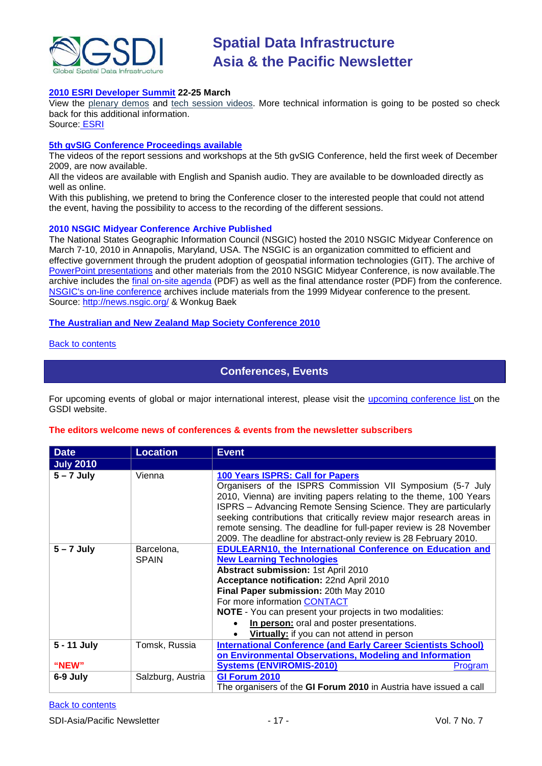

#### **[2010 ESRI Developer Summit](http://www.esri.com/events/devsummit/index.html) 22-25 March**

View the [plenary demos](http://www.esri.com/events/devsummit/videos/index.html) and [tech session videos.](http://www.esri.com/events/devsummit/tech-session-videos/index.html) More technical information is going to be posted so check back for this additional information.

Source: [ESRI](http://www.esri.com/events/devsummit/index.html)

#### **[5th gvSIG Conference Proceedings available](http://jornadas.gvsig.org/comunicaciones/reports)**

The videos of the report sessions and workshops at the 5th gvSIG Conference, held the first week of December 2009, are now available.

All the videos are available with English and Spanish audio. They are available to be downloaded directly as well as online.

With this publishing, we pretend to bring the Conference closer to the interested people that could not attend the event, having the possibility to access to the recording of the different sessions.

#### **2010 NSGIC Midyear Conference Archive Published**

The National States Geographic Information Council (NSGIC) hosted the 2010 NSGIC Midyear Conference on March 7-10, 2010 in Annapolis, Maryland, USA. The NSGIC is an organization committed to efficient and effective government through the prudent adoption of geospatial information technologies (GIT). The archive of [PowerPoint presentations](http://www.nsgic.org/events/2010_midyear.cfm) and other materials from the 2010 NSGIC Midyear Conference, is now available.The archive includes the [final on-site agenda](http://www.nsgic.org/events/2010midyear/OnsiteAgenda.pdf) (PDF) as well as the final attendance roster (PDF) from the conference. [NSGIC's on-line conference](http://www.nsgic.org/events/archives.cfm) archives include materials from the 1999 Midyear conference to the present. Source:<http://news.nsgic.org/> & Wonkug Baek

#### **[The Australian and New Zealand Map Society Conference 2010](http://blogs.slq.qld.gov.au/jol/2010/05/14/the-australian-and-new-zealand-map-society-conference-2010/)**

#### <span id="page-16-0"></span>[Back to contents](#page-0-0)

# **Conferences, Events**

For upcoming events of global or major international interest, please visit the [upcoming conference list o](http://gsdi.org/events/upcnf.asp)n the GSDI website.

#### **The editors welcome news of conferences & events from the newsletter subscribers**

| <b>Date</b>          | <b>Location</b>            | <b>Event</b>                                                                                                                                                                                                                                                                                                                                                                                                                                                    |
|----------------------|----------------------------|-----------------------------------------------------------------------------------------------------------------------------------------------------------------------------------------------------------------------------------------------------------------------------------------------------------------------------------------------------------------------------------------------------------------------------------------------------------------|
| <b>July 2010</b>     |                            |                                                                                                                                                                                                                                                                                                                                                                                                                                                                 |
| $5 - 7$ July         | Vienna                     | <b>100 Years ISPRS: Call for Papers</b><br>Organisers of the ISPRS Commission VII Symposium (5-7 July<br>2010, Vienna) are inviting papers relating to the theme, 100 Years<br>ISPRS - Advancing Remote Sensing Science. They are particularly<br>seeking contributions that critically review major research areas in<br>remote sensing. The deadline for full-paper review is 28 November<br>2009. The deadline for abstract-only review is 28 February 2010. |
| $5 - 7$ July         | Barcelona,<br><b>SPAIN</b> | <b>EDULEARN10, the International Conference on Education and</b><br><b>New Learning Technologies</b><br><b>Abstract submission: 1st April 2010</b><br>Acceptance notification: 22nd April 2010<br>Final Paper submission: 20th May 2010<br>For more information CONTACT<br><b>NOTE</b> - You can present your projects in two modalities:<br>In person: oral and poster presentations.<br>Virtually: if you can not attend in person                            |
| 5 - 11 July<br>"NEW" | Tomsk, Russia              | <b>International Conference (and Early Career Scientists School)</b><br>on Environmental Observations, Modeling and Information<br><b>Systems (ENVIROMIS-2010)</b><br>Program                                                                                                                                                                                                                                                                                   |
| 6-9 July             | Salzburg, Austria          | GI Forum 2010<br>The organisers of the GI Forum 2010 in Austria have issued a call                                                                                                                                                                                                                                                                                                                                                                              |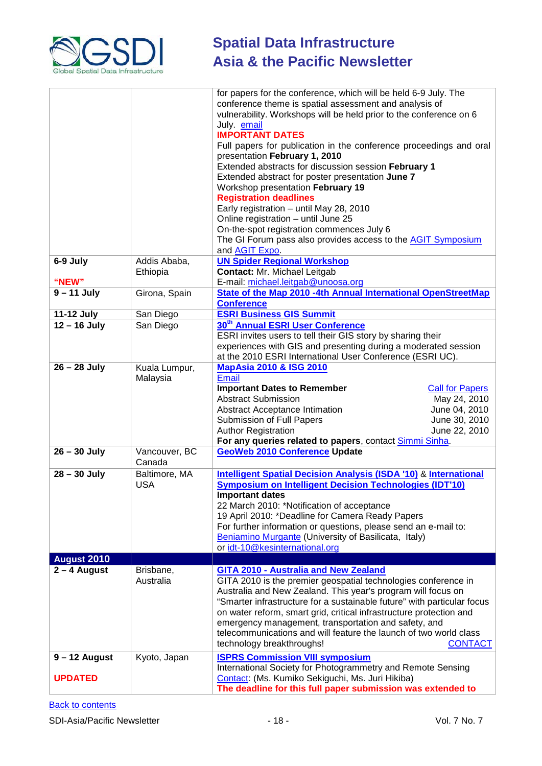

|                        |                             | for papers for the conference, which will be held 6-9 July. The<br>conference theme is spatial assessment and analysis of<br>vulnerability. Workshops will be held prior to the conference on 6<br>July. email<br><b>IMPORTANT DATES</b><br>Full papers for publication in the conference proceedings and oral<br>presentation February 1, 2010<br>Extended abstracts for discussion session February 1<br>Extended abstract for poster presentation June 7<br>Workshop presentation February 19<br><b>Registration deadlines</b><br>Early registration - until May 28, 2010<br>Online registration - until June 25<br>On-the-spot registration commences July 6<br>The GI Forum pass also provides access to the AGIT Symposium<br>and <b>AGIT Expo.</b> |
|------------------------|-----------------------------|-----------------------------------------------------------------------------------------------------------------------------------------------------------------------------------------------------------------------------------------------------------------------------------------------------------------------------------------------------------------------------------------------------------------------------------------------------------------------------------------------------------------------------------------------------------------------------------------------------------------------------------------------------------------------------------------------------------------------------------------------------------|
| 6-9 July               | Addis Ababa,<br>Ethiopia    | <b>UN Spider Regional Workshop</b><br>Contact: Mr. Michael Leitgab                                                                                                                                                                                                                                                                                                                                                                                                                                                                                                                                                                                                                                                                                        |
| "NEW"<br>$9 - 11$ July |                             | E-mail: michael.leitgab@unoosa.org<br>State of the Map 2010 -4th Annual International OpenStreetMap                                                                                                                                                                                                                                                                                                                                                                                                                                                                                                                                                                                                                                                       |
|                        | Girona, Spain               | <b>Conference</b>                                                                                                                                                                                                                                                                                                                                                                                                                                                                                                                                                                                                                                                                                                                                         |
| <b>11-12 July</b>      | San Diego                   | <b>ESRI Business GIS Summit</b>                                                                                                                                                                                                                                                                                                                                                                                                                                                                                                                                                                                                                                                                                                                           |
| $12 - 16$ July         | San Diego                   | 30 <sup>th</sup> Annual ESRI User Conference                                                                                                                                                                                                                                                                                                                                                                                                                                                                                                                                                                                                                                                                                                              |
|                        |                             | ESRI invites users to tell their GIS story by sharing their                                                                                                                                                                                                                                                                                                                                                                                                                                                                                                                                                                                                                                                                                               |
|                        |                             | experiences with GIS and presenting during a moderated session                                                                                                                                                                                                                                                                                                                                                                                                                                                                                                                                                                                                                                                                                            |
|                        |                             | at the 2010 ESRI International User Conference (ESRI UC).                                                                                                                                                                                                                                                                                                                                                                                                                                                                                                                                                                                                                                                                                                 |
| $26 - 28$ July         | Kuala Lumpur,<br>Malaysia   | <b>MapAsia 2010 &amp; ISG 2010</b><br><b>Email</b><br><b>Important Dates to Remember</b><br><b>Call for Papers</b><br>May 24, 2010<br><b>Abstract Submission</b><br>June 04, 2010<br><b>Abstract Acceptance Intimation</b><br>June 30, 2010<br><b>Submission of Full Papers</b><br>June 22, 2010<br><b>Author Registration</b>                                                                                                                                                                                                                                                                                                                                                                                                                            |
|                        |                             | For any queries related to papers, contact Simmi Sinha.                                                                                                                                                                                                                                                                                                                                                                                                                                                                                                                                                                                                                                                                                                   |
| $26 - 30$ July         | Vancouver, BC<br>Canada     | <b>GeoWeb 2010 Conference Update</b>                                                                                                                                                                                                                                                                                                                                                                                                                                                                                                                                                                                                                                                                                                                      |
| $28 - 30$ July         | Baltimore, MA<br><b>USA</b> | <b>Intelligent Spatial Decision Analysis (ISDA '10) &amp; International</b><br>Symposium on Intelligent Decision Technologies (IDT'10)<br><b>Important dates</b><br>22 March 2010: *Notification of acceptance<br>19 April 2010: *Deadline for Camera Ready Papers<br>For further information or questions, please send an e-mail to:<br>Beniamino Murgante (University of Basilicata, Italy)<br>or idt-10@kesinternational.org                                                                                                                                                                                                                                                                                                                           |
| <b>August 2010</b>     |                             |                                                                                                                                                                                                                                                                                                                                                                                                                                                                                                                                                                                                                                                                                                                                                           |
| $2 - 4$ August         | Brisbane,<br>Australia      | GITA 2010 - Australia and New Zealand<br>GITA 2010 is the premier geospatial technologies conference in<br>Australia and New Zealand. This year's program will focus on<br>"Smarter infrastructure for a sustainable future" with particular focus<br>on water reform, smart grid, critical infrastructure protection and<br>emergency management, transportation and safety, and<br>telecommunications and will feature the launch of two world class<br>technology breakthroughs!<br><b>CONTACT</b>                                                                                                                                                                                                                                                     |
| $9 - 12$ August        | Kyoto, Japan                | <b>ISPRS Commission VIII symposium</b>                                                                                                                                                                                                                                                                                                                                                                                                                                                                                                                                                                                                                                                                                                                    |
| <b>UPDATED</b>         |                             | International Society for Photogrammetry and Remote Sensing<br>Contact: (Ms. Kumiko Sekiguchi, Ms. Juri Hikiba)<br>The deadline for this full paper submission was extended to                                                                                                                                                                                                                                                                                                                                                                                                                                                                                                                                                                            |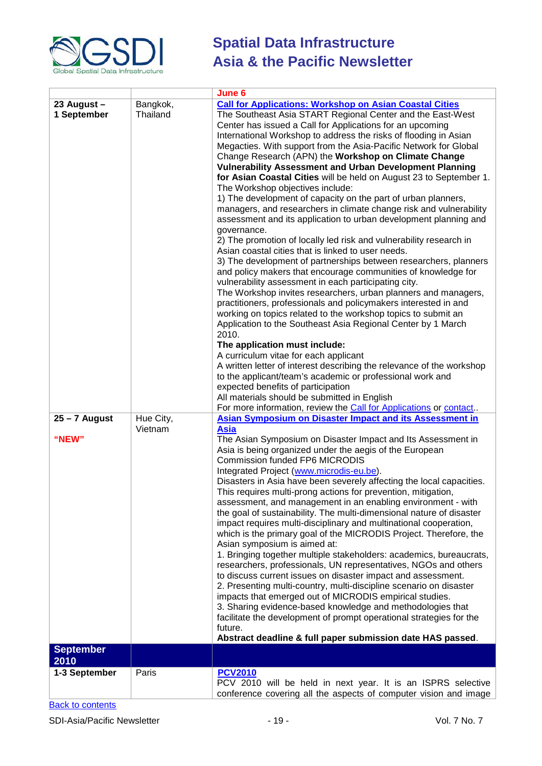

|                            |                      | June 6                                                                                                                                                                                                                                                                                                                                                                                                                                                                                                                                                                                                                                                                                                                                                                                                                                                                                                                                                                                                                                                                                                                                                                                                                                                                                                                                                                                                                                                                                                                                                                                                                                                                                                                                                                              |
|----------------------------|----------------------|-------------------------------------------------------------------------------------------------------------------------------------------------------------------------------------------------------------------------------------------------------------------------------------------------------------------------------------------------------------------------------------------------------------------------------------------------------------------------------------------------------------------------------------------------------------------------------------------------------------------------------------------------------------------------------------------------------------------------------------------------------------------------------------------------------------------------------------------------------------------------------------------------------------------------------------------------------------------------------------------------------------------------------------------------------------------------------------------------------------------------------------------------------------------------------------------------------------------------------------------------------------------------------------------------------------------------------------------------------------------------------------------------------------------------------------------------------------------------------------------------------------------------------------------------------------------------------------------------------------------------------------------------------------------------------------------------------------------------------------------------------------------------------------|
| 23 August -<br>1 September | Bangkok,<br>Thailand | <b>Call for Applications: Workshop on Asian Coastal Cities</b><br>The Southeast Asia START Regional Center and the East-West<br>Center has issued a Call for Applications for an upcoming<br>International Workshop to address the risks of flooding in Asian<br>Megacties. With support from the Asia-Pacific Network for Global<br>Change Research (APN) the Workshop on Climate Change<br><b>Vulnerability Assessment and Urban Development Planning</b><br>for Asian Coastal Cities will be held on August 23 to September 1.<br>The Workshop objectives include:<br>1) The development of capacity on the part of urban planners,<br>managers, and researchers in climate change risk and vulnerability<br>assessment and its application to urban development planning and<br>governance.<br>2) The promotion of locally led risk and vulnerability research in<br>Asian coastal cities that is linked to user needs.<br>3) The development of partnerships between researchers, planners<br>and policy makers that encourage communities of knowledge for<br>vulnerability assessment in each participating city.<br>The Workshop invites researchers, urban planners and managers,<br>practitioners, professionals and policymakers interested in and<br>working on topics related to the workshop topics to submit an<br>Application to the Southeast Asia Regional Center by 1 March<br>2010.<br>The application must include:<br>A curriculum vitae for each applicant<br>A written letter of interest describing the relevance of the workshop<br>to the applicant/team's academic or professional work and<br>expected benefits of participation<br>All materials should be submitted in English<br>For more information, review the Call for Applications or contact. |
| $25 - 7$ August<br>"NEW"   | Hue City,<br>Vietnam | <b>Asian Symposium on Disaster Impact and its Assessment in</b><br><b>Asia</b><br>The Asian Symposium on Disaster Impact and Its Assessment in<br>Asia is being organized under the aegis of the European<br><b>Commission funded FP6 MICRODIS</b><br>Integrated Project (www.microdis-eu.be).<br>Disasters in Asia have been severely affecting the local capacities.<br>This requires multi-prong actions for prevention, mitigation,<br>assessment, and management in an enabling environment - with<br>the goal of sustainability. The multi-dimensional nature of disaster<br>impact requires multi-disciplinary and multinational cooperation,<br>which is the primary goal of the MICRODIS Project. Therefore, the<br>Asian symposium is aimed at:<br>1. Bringing together multiple stakeholders: academics, bureaucrats,<br>researchers, professionals, UN representatives, NGOs and others<br>to discuss current issues on disaster impact and assessment.<br>2. Presenting multi-country, multi-discipline scenario on disaster<br>impacts that emerged out of MICRODIS empirical studies.<br>3. Sharing evidence-based knowledge and methodologies that<br>facilitate the development of prompt operational strategies for the<br>future.<br>Abstract deadline & full paper submission date HAS passed.                                                                                                                                                                                                                                                                                                                                                                                                                                                                  |
| <b>September</b><br>2010   |                      |                                                                                                                                                                                                                                                                                                                                                                                                                                                                                                                                                                                                                                                                                                                                                                                                                                                                                                                                                                                                                                                                                                                                                                                                                                                                                                                                                                                                                                                                                                                                                                                                                                                                                                                                                                                     |
| 1-3 September              | Paris                | <b>PCV2010</b><br>PCV 2010 will be held in next year. It is an ISPRS selective<br>conference covering all the aspects of computer vision and image                                                                                                                                                                                                                                                                                                                                                                                                                                                                                                                                                                                                                                                                                                                                                                                                                                                                                                                                                                                                                                                                                                                                                                                                                                                                                                                                                                                                                                                                                                                                                                                                                                  |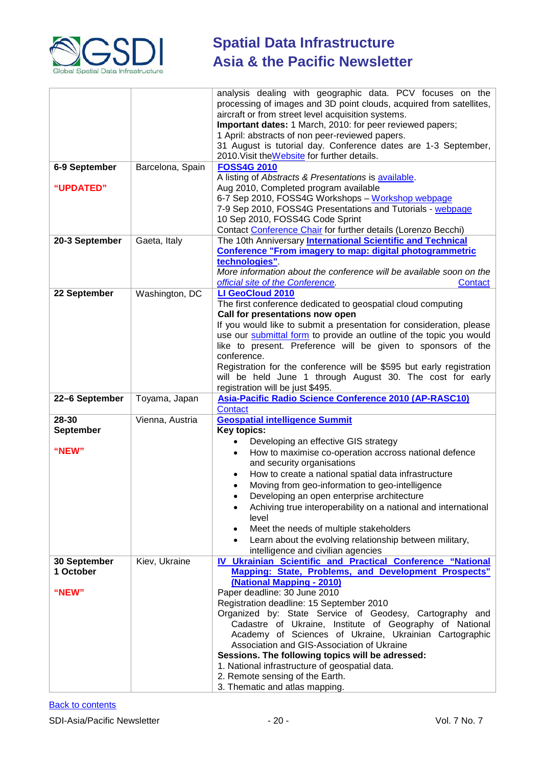

| 6-9 September                      | Barcelona, Spain | analysis dealing with geographic data. PCV focuses on the<br>processing of images and 3D point clouds, acquired from satellites,<br>aircraft or from street level acquisition systems.<br>Important dates: 1 March, 2010: for peer reviewed papers;<br>1 April: abstracts of non peer-reviewed papers.<br>31 August is tutorial day. Conference dates are 1-3 September,<br>2010. Visit the Website for further details.<br><b>FOSS4G 2010</b>                                                                                                                                                            |
|------------------------------------|------------------|-----------------------------------------------------------------------------------------------------------------------------------------------------------------------------------------------------------------------------------------------------------------------------------------------------------------------------------------------------------------------------------------------------------------------------------------------------------------------------------------------------------------------------------------------------------------------------------------------------------|
| "UPDATED"                          |                  | A listing of Abstracts & Presentations is available.<br>Aug 2010, Completed program available<br>6-7 Sep 2010, FOSS4G Workshops - Workshop webpage<br>7-9 Sep 2010, FOSS4G Presentations and Tutorials - webpage<br>10 Sep 2010, FOSS4G Code Sprint                                                                                                                                                                                                                                                                                                                                                       |
|                                    |                  | Contact Conference Chair for further details (Lorenzo Becchi)                                                                                                                                                                                                                                                                                                                                                                                                                                                                                                                                             |
| 20-3 September                     | Gaeta, Italy     | The 10th Anniversary International Scientific and Technical<br><b>Conference "From imagery to map: digital photogrammetric</b><br>technologies".<br>More information about the conference will be available soon on the<br>official site of the Conference.<br>Contact                                                                                                                                                                                                                                                                                                                                    |
| 22 September                       | Washington, DC   | LI GeoCloud 2010<br>The first conference dedicated to geospatial cloud computing<br>Call for presentations now open<br>If you would like to submit a presentation for consideration, please<br>use our submittal form to provide an outline of the topic you would<br>like to present. Preference will be given to sponsors of the<br>conference.<br>Registration for the conference will be \$595 but early registration<br>will be held June 1 through August 30. The cost for early<br>registration will be just \$495.                                                                                |
| 22-6 September                     | Toyama, Japan    | Asia-Pacific Radio Science Conference 2010 (AP-RASC10)<br><b>Contact</b>                                                                                                                                                                                                                                                                                                                                                                                                                                                                                                                                  |
| 28-30<br><b>September</b><br>"NEW" | Vienna, Austria  | <b>Geospatial intelligence Summit</b><br><b>Key topics:</b><br>Developing an effective GIS strategy<br>How to maximise co-operation accross national defence<br>and security organisations<br>How to create a national spatial data infrastructure<br>٠<br>Moving from geo-information to geo-intelligence<br>Developing an open enterprise architecture<br>Achiving true interoperability on a national and international<br>level<br>Meet the needs of multiple stakeholders<br>٠<br>Learn about the evolving relationship between military,<br>intelligence and civilian agencies                      |
| 30 September<br>1 October<br>"NEW" | Kiev, Ukraine    | IV Ukrainian Scientific and Practical Conference "National<br><b>Mapping: State, Problems, and Development Prospects"</b><br>(National Mapping - 2010)<br>Paper deadline: 30 June 2010<br>Registration deadline: 15 September 2010<br>Organized by: State Service of Geodesy, Cartography and<br>Cadastre of Ukraine, Institute of Geography of National<br>Academy of Sciences of Ukraine, Ukrainian Cartographic<br>Association and GIS-Association of Ukraine<br>Sessions. The following topics will be adressed:<br>1. National infrastructure of geospatial data.<br>2. Remote sensing of the Earth. |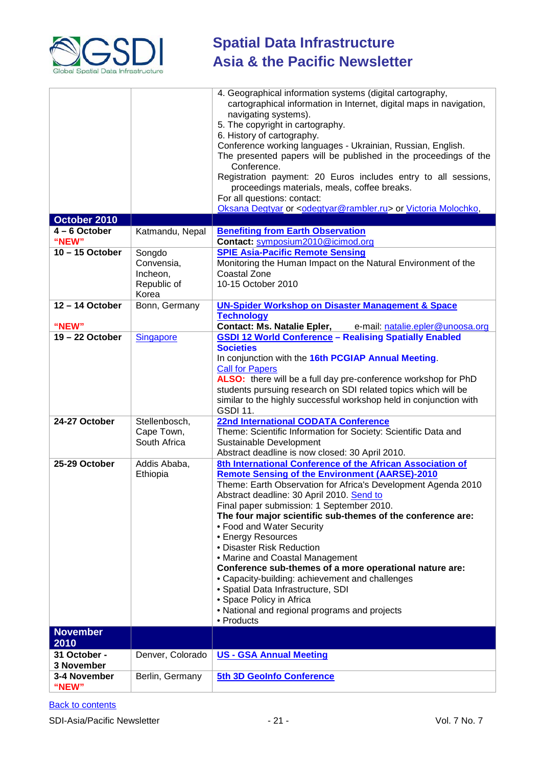

|                   |                      | 4. Geographical information systems (digital cartography,                                                                            |
|-------------------|----------------------|--------------------------------------------------------------------------------------------------------------------------------------|
|                   |                      | cartographical information in Internet, digital maps in navigation,<br>navigating systems).                                          |
|                   |                      | 5. The copyright in cartography.                                                                                                     |
|                   |                      | 6. History of cartography.                                                                                                           |
|                   |                      | Conference working languages - Ukrainian, Russian, English.<br>The presented papers will be published in the proceedings of the      |
|                   |                      | Conference.                                                                                                                          |
|                   |                      | Registration payment: 20 Euros includes entry to all sessions,                                                                       |
|                   |                      | proceedings materials, meals, coffee breaks.                                                                                         |
|                   |                      | For all questions: contact:                                                                                                          |
|                   |                      | Oksana Degtyar or <odegtyar@rambler.ru> or Victoria Molochko,</odegtyar@rambler.ru>                                                  |
| October 2010      |                      |                                                                                                                                      |
| $4 - 6$ October   | Katmandu, Nepal      | <b>Benefiting from Earth Observation</b>                                                                                             |
| "NEW"             |                      | Contact: symposium2010@icimod.org                                                                                                    |
| 10-15 October     | Songdo               | <b>SPIE Asia-Pacific Remote Sensing</b>                                                                                              |
|                   | Convensia,           | Monitoring the Human Impact on the Natural Environment of the                                                                        |
|                   | Incheon,             | <b>Coastal Zone</b>                                                                                                                  |
|                   | Republic of<br>Korea | 10-15 October 2010                                                                                                                   |
| 12-14 October     | Bonn, Germany        | <b>UN-Spider Workshop on Disaster Management &amp; Space</b>                                                                         |
|                   |                      | <b>Technology</b>                                                                                                                    |
| "NEW"             |                      | <b>Contact: Ms. Natalie Epler,</b><br>e-mail: natalie.epler@unoosa.org                                                               |
| $19 - 22$ October | <b>Singapore</b>     | <b>GSDI 12 World Conference - Realising Spatially Enabled</b>                                                                        |
|                   |                      | <b>Societies</b>                                                                                                                     |
|                   |                      | In conjunction with the 16th PCGIAP Annual Meeting.                                                                                  |
|                   |                      | <b>Call for Papers</b>                                                                                                               |
|                   |                      | ALSO: there will be a full day pre-conference workshop for PhD                                                                       |
|                   |                      | students pursuing research on SDI related topics which will be<br>similar to the highly successful workshop held in conjunction with |
|                   |                      | <b>GSDI 11.</b>                                                                                                                      |
| 24-27 October     | Stellenbosch,        | <b>22nd International CODATA Conference</b>                                                                                          |
|                   | Cape Town,           | Theme: Scientific Information for Society: Scientific Data and                                                                       |
|                   | South Africa         | Sustainable Development                                                                                                              |
|                   |                      | Abstract deadline is now closed: 30 April 2010.                                                                                      |
| 25-29 October     | Addis Ababa,         | 8th International Conference of the African Association of                                                                           |
|                   | Ethiopia             | <b>Remote Sensing of the Environment (AARSE)-2010</b>                                                                                |
|                   |                      | Theme: Earth Observation for Africa's Development Agenda 2010                                                                        |
|                   |                      | Abstract deadline: 30 April 2010. Send to                                                                                            |
|                   |                      | Final paper submission: 1 September 2010.                                                                                            |
|                   |                      | The four major scientific sub-themes of the conference are:                                                                          |
|                   |                      | • Food and Water Security                                                                                                            |
|                   |                      | • Energy Resources                                                                                                                   |
|                   |                      | · Disaster Risk Reduction                                                                                                            |
|                   |                      | • Marine and Coastal Management<br>Conference sub-themes of a more operational nature are:                                           |
|                   |                      | • Capacity-building: achievement and challenges                                                                                      |
|                   |                      | • Spatial Data Infrastructure, SDI                                                                                                   |
|                   |                      | • Space Policy in Africa                                                                                                             |
|                   |                      | • National and regional programs and projects                                                                                        |
|                   |                      | • Products                                                                                                                           |
| <b>November</b>   |                      |                                                                                                                                      |
| 2010              |                      |                                                                                                                                      |
| 31 October -      | Denver, Colorado     | <b>US - GSA Annual Meeting</b>                                                                                                       |
| 3 November        |                      |                                                                                                                                      |
| 3-4 November      | Berlin, Germany      | 5th 3D GeoInfo Conference                                                                                                            |
| "NEW"             |                      |                                                                                                                                      |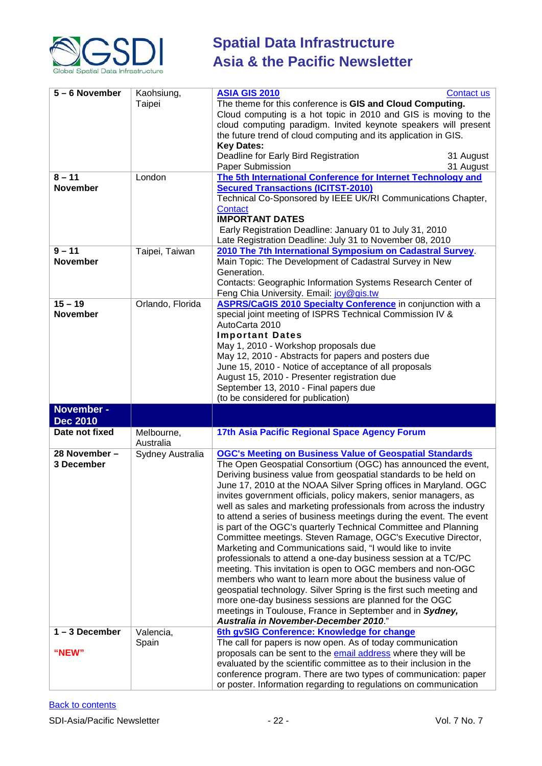

| 5-6 November                 | Kaohsiung,<br>Taipei    | <b>ASIA GIS 2010</b><br><b>Contact us</b><br>The theme for this conference is GIS and Cloud Computing.<br>Cloud computing is a hot topic in 2010 and GIS is moving to the<br>cloud computing paradigm. Invited keynote speakers will present<br>the future trend of cloud computing and its application in GIS.<br><b>Key Dates:</b><br>Deadline for Early Bird Registration<br>31 August<br>Paper Submission<br>31 August                                                                                                                                                                                                                                                                                                                                                                                                                                                                                                                                                                                                                                                                                                  |
|------------------------------|-------------------------|-----------------------------------------------------------------------------------------------------------------------------------------------------------------------------------------------------------------------------------------------------------------------------------------------------------------------------------------------------------------------------------------------------------------------------------------------------------------------------------------------------------------------------------------------------------------------------------------------------------------------------------------------------------------------------------------------------------------------------------------------------------------------------------------------------------------------------------------------------------------------------------------------------------------------------------------------------------------------------------------------------------------------------------------------------------------------------------------------------------------------------|
| $8 - 11$<br><b>November</b>  | London                  | The 5th International Conference for Internet Technology and<br><b>Secured Transactions (ICITST-2010)</b><br>Technical Co-Sponsored by IEEE UK/RI Communications Chapter,<br>Contact<br><b>IMPORTANT DATES</b><br>Early Registration Deadline: January 01 to July 31, 2010<br>Late Registration Deadline: July 31 to November 08, 2010                                                                                                                                                                                                                                                                                                                                                                                                                                                                                                                                                                                                                                                                                                                                                                                      |
| $9 - 11$<br><b>November</b>  | Taipei, Taiwan          | 2010 The 7th International Symposium on Cadastral Survey.<br>Main Topic: The Development of Cadastral Survey in New<br>Generation.<br>Contacts: Geographic Information Systems Research Center of<br>Feng Chia University. Email: joy@gis.tw                                                                                                                                                                                                                                                                                                                                                                                                                                                                                                                                                                                                                                                                                                                                                                                                                                                                                |
| $15 - 19$<br><b>November</b> | Orlando, Florida        | <b>ASPRS/CaGIS 2010 Specialty Conference</b> in conjunction with a<br>special joint meeting of ISPRS Technical Commission IV &<br>AutoCarta 2010<br><b>Important Dates</b><br>May 1, 2010 - Workshop proposals due<br>May 12, 2010 - Abstracts for papers and posters due<br>June 15, 2010 - Notice of acceptance of all proposals<br>August 15, 2010 - Presenter registration due<br>September 13, 2010 - Final papers due<br>(to be considered for publication)                                                                                                                                                                                                                                                                                                                                                                                                                                                                                                                                                                                                                                                           |
| November -                   |                         |                                                                                                                                                                                                                                                                                                                                                                                                                                                                                                                                                                                                                                                                                                                                                                                                                                                                                                                                                                                                                                                                                                                             |
| <b>Dec 2010</b>              |                         |                                                                                                                                                                                                                                                                                                                                                                                                                                                                                                                                                                                                                                                                                                                                                                                                                                                                                                                                                                                                                                                                                                                             |
| Date not fixed               | Melbourne,<br>Australia | 17th Asia Pacific Regional Space Agency Forum                                                                                                                                                                                                                                                                                                                                                                                                                                                                                                                                                                                                                                                                                                                                                                                                                                                                                                                                                                                                                                                                               |
| 28 November -<br>3 December  | Sydney Australia        | <b>OGC's Meeting on Business Value of Geospatial Standards</b><br>The Open Geospatial Consortium (OGC) has announced the event,<br>Deriving business value from geospatial standards to be held on<br>June 17, 2010 at the NOAA Silver Spring offices in Maryland. OGC<br>invites government officials, policy makers, senior managers, as<br>well as sales and marketing professionals from across the industry<br>to attend a series of business meetings during the event. The event<br>is part of the OGC's quarterly Technical Committee and Planning<br>Committee meetings. Steven Ramage, OGC's Executive Director,<br>Marketing and Communications said, "I would like to invite<br>professionals to attend a one-day business session at a TC/PC<br>meeting. This invitation is open to OGC members and non-OGC<br>members who want to learn more about the business value of<br>geospatial technology. Silver Spring is the first such meeting and<br>more one-day business sessions are planned for the OGC<br>meetings in Toulouse, France in September and in Sydney,<br>Australia in November-December 2010." |
| $1 - 3$ December             | Valencia,               | 6th gvSIG Conference: Knowledge for change                                                                                                                                                                                                                                                                                                                                                                                                                                                                                                                                                                                                                                                                                                                                                                                                                                                                                                                                                                                                                                                                                  |
| "NEW"                        | Spain                   | The call for papers is now open. As of today communication<br>proposals can be sent to the email address where they will be<br>evaluated by the scientific committee as to their inclusion in the<br>conference program. There are two types of communication: paper<br>or poster. Information regarding to regulations on communication                                                                                                                                                                                                                                                                                                                                                                                                                                                                                                                                                                                                                                                                                                                                                                                    |